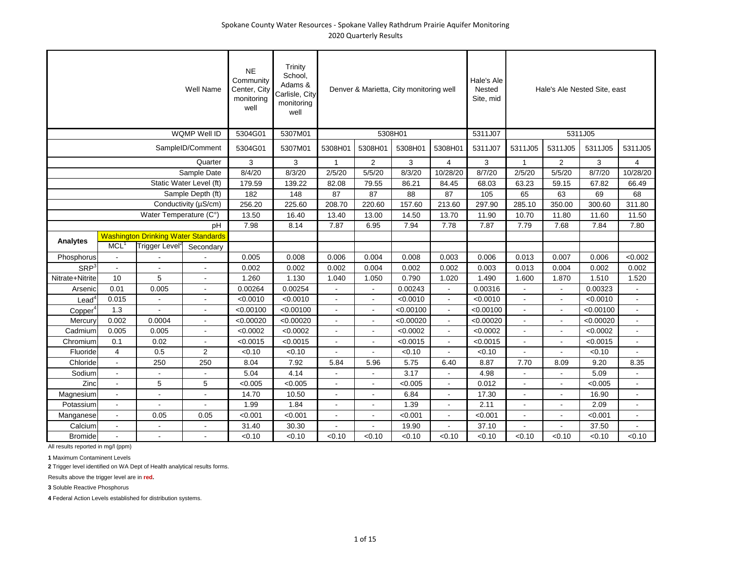|                          |                         |                                            | Well Name               | <b>NE</b><br>Community<br>Center, City<br>monitoring<br>well | Trinity<br>School,<br>Adams &<br>Carlisle, City<br>monitoring<br>well |              |                | Denver & Marietta, City monitoring well |                | Hale's Ale<br>Nested<br>Site, mid |              |                | Hale's Ale Nested Site, east |                |
|--------------------------|-------------------------|--------------------------------------------|-------------------------|--------------------------------------------------------------|-----------------------------------------------------------------------|--------------|----------------|-----------------------------------------|----------------|-----------------------------------|--------------|----------------|------------------------------|----------------|
|                          |                         |                                            | WQMP Well ID            | 5304G01                                                      | 5307M01                                                               |              |                | 5308H01                                 |                | 5311J07                           |              |                | 5311J05                      |                |
|                          |                         |                                            | SampleID/Comment        | 5304G01                                                      | 5307M01                                                               | 5308H01      | 5308H01        | 5308H01                                 | 5308H01        | 5311J07                           | 5311J05      | 5311J05        | 5311J05                      | 5311J05        |
|                          |                         |                                            | Quarter                 | 3                                                            | 3                                                                     | $\mathbf{1}$ | $\overline{2}$ | 3                                       | $\overline{4}$ | 3                                 | $\mathbf{1}$ | $\overline{2}$ | 3                            | $\overline{4}$ |
|                          |                         |                                            | Sample Date             | 8/4/20                                                       | 8/3/20                                                                | 2/5/20       | 5/5/20         | 8/3/20                                  | 10/28/20       | 8/7/20                            | 2/5/20       | 5/5/20         | 8/7/20                       | 10/28/20       |
|                          |                         |                                            | Static Water Level (ft) | 179.59                                                       | 139.22                                                                | 82.08        | 79.55          | 86.21                                   | 84.45          | 68.03                             | 63.23        | 59.15          | 67.82                        | 66.49          |
|                          |                         |                                            | Sample Depth (ft)       | 182                                                          | 148                                                                   | 87           | 87             | 88                                      | 87             | 105                               | 65           | 63             | 69                           | 68             |
|                          |                         |                                            | Conductivity (µS/cm)    | 256.20                                                       | 225.60                                                                | 208.70       | 220.60         | 157.60                                  | 213.60         | 297.90                            | 285.10       | 350.00         | 300.60                       | 311.80         |
|                          |                         | Water Temperature (C°)                     |                         | 13.50                                                        | 16.40                                                                 | 13.40        | 13.00          | 14.50                                   | 13.70          | 11.90                             | 10.70        | 11.80          | 11.60                        | 11.50          |
|                          |                         |                                            | pH                      | 7.98                                                         | 8.14                                                                  | 7.87         | 6.95           | 7.94                                    | 7.78           | 7.87                              | 7.79         | 7.68           | 7.84                         | 7.80           |
| <b>Analytes</b>          |                         | <b>Washington Drinking Water Standards</b> |                         |                                                              |                                                                       |              |                |                                         |                |                                   |              |                |                              |                |
|                          | MCL <sup>1</sup>        | Trigger Level <sup>2</sup>                 | Secondary               |                                                              |                                                                       |              |                |                                         |                |                                   |              |                |                              |                |
| Phosphorus               |                         |                                            |                         | 0.005                                                        | 0.008                                                                 | 0.006        | 0.004          | 0.008                                   | 0.003          | 0.006                             | 0.013        | 0.007          | 0.006                        | <0.002         |
| <b>SRP</b>               | $\blacksquare$          |                                            | $\blacksquare$          | 0.002                                                        | 0.002                                                                 | 0.002        | 0.004          | 0.002                                   | 0.002          | 0.003                             | 0.013        | 0.004          | 0.002                        | 0.002          |
| Nitrate+Nitrite          | 10                      | 5                                          | $\overline{a}$          | 1.260                                                        | 1.130                                                                 | 1.040        | 1.050          | 0.790                                   | 1.020          | 1.490                             | 1.600        | 1.870          | 1.510                        | 1.520          |
| Arsenic                  | 0.01                    | 0.005                                      | $\sim$                  | 0.00264                                                      | 0.00254                                                               |              |                | 0.00243                                 | $\overline{a}$ | 0.00316                           |              |                | 0.00323                      | $\blacksquare$ |
| $\text{Lead}^{\text{c}}$ | 0.015                   |                                            | $\overline{a}$          | < 0.0010                                                     | < 0.0010                                                              |              |                | < 0.0010                                | $\overline{a}$ | < 0.0010                          |              |                | < 0.0010                     | $\Delta$       |
| Copper <sup>4</sup>      | 1.3                     |                                            |                         | < 0.00100                                                    | < 0.00100                                                             |              | $\overline{a}$ | < 0.00100                               | ÷              | < 0.00100                         |              |                | < 0.00100                    | $\sim$         |
| Mercury                  | 0.002                   | 0.0004                                     | $\overline{a}$          | < 0.00020                                                    | < 0.00020                                                             |              |                | < 0.00020                               | $\overline{a}$ | < 0.00020                         |              |                | < 0.00020                    | $\mathbf{r}$   |
| Cadmium                  | 0.005                   | 0.005                                      | ÷.                      | < 0.0002                                                     | < 0.0002                                                              | ÷.           | ÷.             | < 0.0002                                | ÷.             | < 0.0002                          |              |                | < 0.0002                     | $\Delta$       |
| Chromium                 | 0.1                     | 0.02                                       |                         | < 0.0015                                                     | < 0.0015                                                              |              |                | < 0.0015                                | ÷              | < 0.0015                          |              |                | < 0.0015                     | $\sim$         |
| Fluoride                 | $\overline{\mathbf{4}}$ | 0.5                                        | 2                       | < 0.10                                                       | < 0.10                                                                |              |                | < 0.10                                  |                | < 0.10                            |              |                | < 0.10                       |                |
| Chloride                 | $\sim$                  | 250                                        | 250                     | 8.04                                                         | 7.92                                                                  | 5.84         | 5.96           | 5.75                                    | 6.40           | 8.87                              | 7.70         | 8.09           | 9.20                         | 8.35           |
| Sodium                   | $\overline{a}$          |                                            |                         | 5.04                                                         | 4.14                                                                  |              |                | 3.17                                    |                | 4.98                              |              |                | 5.09                         |                |
| Zinc                     | $\overline{a}$          | 5                                          | 5                       | < 0.005                                                      | < 0.005                                                               |              |                | < 0.005                                 | ÷.             | 0.012                             |              |                | < 0.005                      | $\sim$         |
| Magnesium                | $\blacksquare$          |                                            |                         | 14.70                                                        | 10.50                                                                 |              |                | 6.84                                    | $\overline{a}$ | 17.30                             |              |                | 16.90                        | $\overline{a}$ |
| Potassium                | $\overline{a}$          |                                            |                         | 1.99                                                         | 1.84                                                                  |              |                | 1.39                                    | ÷              | 2.11                              |              |                | 2.09                         | $\sim$         |
| Manganese                | $\overline{a}$          | 0.05                                       | 0.05                    | < 0.001                                                      | < 0.001                                                               |              |                | < 0.001                                 | ÷.             | < 0.001                           |              |                | < 0.001                      | $\sim$         |
| Calcium                  |                         |                                            |                         | 31.40                                                        | 30.30                                                                 |              |                | 19.90                                   |                | 37.10                             |              |                | 37.50                        |                |
| <b>Bromide</b>           |                         |                                            |                         | < 0.10                                                       | < 0.10                                                                | < 0.10       | < 0.10         | < 0.10                                  | < 0.10         | < 0.10                            | < 0.10       | < 0.10         | < 0.10                       | < 0.10         |

**1** Maximum Contaminent Levels

**2** Trigger level identified on WA Dept of Health analytical results forms.

Results above the trigger level are in **red.**

**3** Soluble Reactive Phosphorus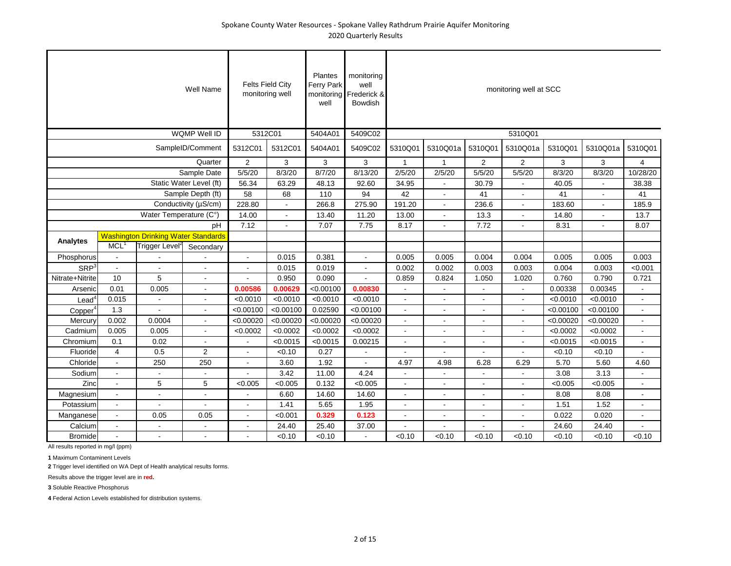|                          |                  |                                            | <b>Well Name</b>        | <b>Felts Field City</b><br>monitoring well |                | Plantes<br>Ferry Park<br>monitoring<br>well | monitoring<br>well<br>Frederick &<br>Bowdish |                |                          |                | monitoring well at SCC |           |                          |                |
|--------------------------|------------------|--------------------------------------------|-------------------------|--------------------------------------------|----------------|---------------------------------------------|----------------------------------------------|----------------|--------------------------|----------------|------------------------|-----------|--------------------------|----------------|
|                          |                  |                                            | WQMP Well ID            | 5312C01                                    |                | 5404A01                                     | 5409C02                                      |                |                          |                | 5310Q01                |           |                          |                |
|                          |                  |                                            | SampleID/Comment        | 5312C01                                    | 5312C01        | 5404A01                                     | 5409C02                                      | 5310Q01        | 5310Q01a                 | 5310Q01        | 5310Q01a               | 5310Q01   | 5310Q01a                 | 5310Q01        |
|                          |                  |                                            | Quarter                 | $\overline{2}$                             | 3              | 3                                           | 3                                            | $\mathbf{1}$   | $\mathbf{1}$             | $\overline{2}$ | $\overline{2}$         | 3         | 3                        | $\overline{4}$ |
|                          |                  |                                            | Sample Date             | 5/5/20                                     | 8/3/20         | 8/7/20                                      | 8/13/20                                      | 2/5/20         | 2/5/20                   | 5/5/20         | 5/5/20                 | 8/3/20    | 8/3/20                   | 10/28/20       |
|                          |                  |                                            | Static Water Level (ft) | 56.34                                      | 63.29          | 48.13                                       | 92.60                                        | 34.95          |                          | 30.79          |                        | 40.05     |                          | 38.38          |
|                          |                  |                                            | Sample Depth (ft)       | 58                                         | 68             | 110                                         | 94                                           | 42             | $\blacksquare$           | 41             | $\blacksquare$         | 41        | $\overline{\phantom{a}}$ | 41             |
|                          |                  |                                            | Conductivity (µS/cm)    | 228.80                                     | $\blacksquare$ | 266.8                                       | 275.90                                       | 191.20         | $\blacksquare$           | 236.6          | $\blacksquare$         | 183.60    | $\overline{\phantom{a}}$ | 185.9          |
|                          |                  | Water Temperature (C°)                     |                         | 14.00                                      |                | 13.40                                       | 11.20                                        | 13.00          | $\overline{a}$           | 13.3           |                        | 14.80     |                          | 13.7           |
|                          |                  |                                            | pH                      | 7.12                                       | $\sim$         | 7.07                                        | 7.75                                         | 8.17           | $\blacksquare$           | 7.72           |                        | 8.31      | $\overline{\phantom{a}}$ | 8.07           |
| <b>Analytes</b>          |                  | <b>Washington Drinking Water Standards</b> |                         |                                            |                |                                             |                                              |                |                          |                |                        |           |                          |                |
|                          | MCL <sup>1</sup> | Trigger Level <sup>2</sup>                 | Secondary               |                                            |                |                                             |                                              |                |                          |                |                        |           |                          |                |
| Phosphorus               | ÷,               |                                            |                         | $\sim$                                     | 0.015          | 0.381                                       | $\overline{\phantom{a}}$                     | 0.005          | 0.005                    | 0.004          | 0.004                  | 0.005     | 0.005                    | 0.003          |
| SRP <sup>3</sup>         | $\overline{a}$   |                                            | ä,                      |                                            | 0.015          | 0.019                                       | ٠                                            | 0.002          | 0.002                    | 0.003          | 0.003                  | 0.004     | 0.003                    | < 0.001        |
| Nitrate+Nitrite          | 10               | 5                                          | $\blacksquare$          |                                            | 0.950          | 0.090                                       |                                              | 0.859          | 0.824                    | 1.050          | 1.020                  | 0.760     | 0.790                    | 0.721          |
| Arsenic                  | 0.01             | 0.005                                      | $\blacksquare$          | 0.00586                                    | 0.00629        | < 0.00100                                   | 0.00830                                      |                | $\overline{a}$           |                |                        | 0.00338   | 0.00345                  | $\blacksquare$ |
| $\text{Lead}^{\text{c}}$ | 0.015            |                                            | $\blacksquare$          | < 0.0010                                   | < 0.0010       | < 0.0010                                    | < 0.0010                                     | $\overline{a}$ |                          |                |                        | < 0.0010  | < 0.0010                 | $\blacksquare$ |
| Copper <sup>4</sup>      | 1.3              |                                            |                         | < 0.00100                                  | < 0.00100      | 0.02590                                     | < 0.00100                                    | ä,             |                          |                |                        | < 0.00100 | < 0.00100                | $\blacksquare$ |
| Mercury                  | 0.002            | 0.0004                                     | $\blacksquare$          | < 0.00020                                  | < 0.00020      | < 0.00020                                   | < 0.00020                                    | L,             |                          |                |                        | < 0.00020 | < 0.00020                | $\blacksquare$ |
| Cadmium                  | 0.005            | 0.005                                      | $\blacksquare$          | < 0.0002                                   | < 0.0002       | < 0.0002                                    | < 0.0002                                     | L,             |                          |                |                        | < 0.0002  | < 0.0002                 | $\blacksquare$ |
| Chromium                 | 0.1              | 0.02                                       | $\blacksquare$          | $\sim$                                     | < 0.0015       | < 0.0015                                    | 0.00215                                      | ä,             | $\overline{\phantom{a}}$ |                |                        | < 0.0015  | < 0.0015                 | $\blacksquare$ |
| Fluoride                 | $\overline{4}$   | 0.5                                        | 2                       |                                            | < 0.10         | 0.27                                        |                                              |                |                          |                |                        | < 0.10    | < 0.10                   |                |
| Chloride                 | $\blacksquare$   | 250                                        | 250                     | $\sim$                                     | 3.60           | 1.92                                        | $\overline{a}$                               | 4.97           | 4.98                     | 6.28           | 6.29                   | 5.70      | 5.60                     | 4.60           |
| Sodium                   | $\overline{a}$   |                                            | $\overline{a}$          |                                            | 3.42           | 11.00                                       | 4.24                                         |                | $\overline{\phantom{a}}$ |                |                        | 3.08      | 3.13                     |                |
| Zinc                     | $\blacksquare$   | 5                                          | 5                       | < 0.005                                    | < 0.005        | 0.132                                       | < 0.005                                      | $\mathbf{r}$   | $\blacksquare$           | $\overline{a}$ |                        | < 0.005   | < 0.005                  | $\blacksquare$ |
| Magnesium                | $\blacksquare$   |                                            | ÷.                      | $\sim$                                     | 6.60           | 14.60                                       | 14.60                                        | $\overline{a}$ | ÷                        | $\overline{a}$ |                        | 8.08      | 8.08                     | $\blacksquare$ |
| Potassium                | $\overline{a}$   |                                            |                         |                                            | 1.41           | 5.65                                        | 1.95                                         |                |                          |                |                        | 1.51      | 1.52                     |                |
| Manganese                | $\omega$         | 0.05                                       | 0.05                    | $\mathbf{r}$                               | < 0.001        | 0.329                                       | 0.123                                        | $\overline{a}$ | $\overline{a}$           | $\blacksquare$ |                        | 0.022     | 0.020                    | $\Delta$       |
| Calcium                  | $\sim$           | $\overline{a}$                             | $\blacksquare$          | $\sim$                                     | 24.40          | 25.40                                       | 37.00                                        |                |                          |                |                        | 24.60     | 24.40                    |                |
| <b>Bromide</b>           | $\overline{a}$   |                                            | ÷.                      |                                            | < 0.10         | < 0.10                                      |                                              | < 0.10         | < 0.10                   | < 0.10         | < 0.10                 | < 0.10    | < 0.10                   | < 0.10         |

**1** Maximum Contaminent Levels

**2** Trigger level identified on WA Dept of Health analytical results forms.

Results above the trigger level are in **red.**

**3** Soluble Reactive Phosphorus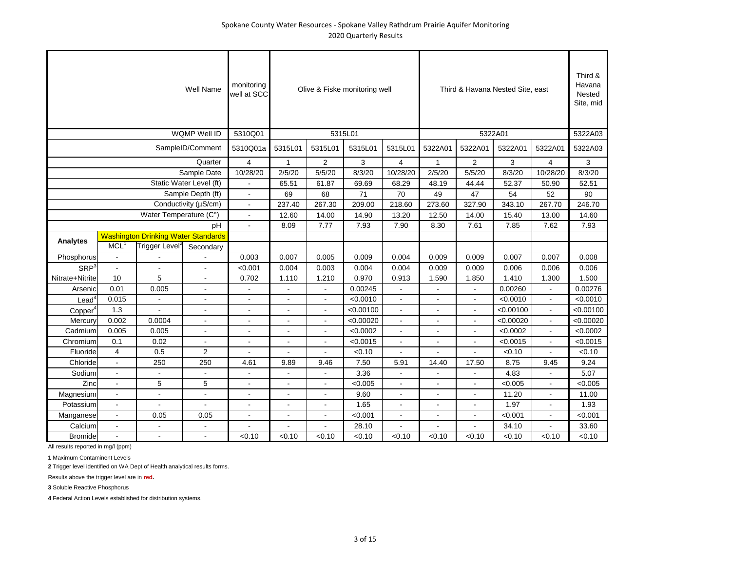|                     |                  |                                            | <b>Well Name</b>         | monitoring<br>well at SCC |                |                          | Olive & Fiske monitoring well |                |                |                | Third & Havana Nested Site, east |                | Third &<br>Havana<br>Nested<br>Site, mid |
|---------------------|------------------|--------------------------------------------|--------------------------|---------------------------|----------------|--------------------------|-------------------------------|----------------|----------------|----------------|----------------------------------|----------------|------------------------------------------|
|                     |                  |                                            | <b>WQMP Well ID</b>      | 5310Q01                   |                |                          | 5315L01                       |                |                |                | 5322A01                          |                | 5322A03                                  |
|                     |                  |                                            | SampleID/Comment         | 5310Q01a                  | 5315L01        | 5315L01                  | 5315L01                       | 5315L01        | 5322A01        | 5322A01        | 5322A01                          | 5322A01        | 5322A03                                  |
|                     |                  |                                            | Quarter                  | $\overline{4}$            | $\mathbf{1}$   | 2                        | 3                             | $\overline{4}$ | $\mathbf{1}$   | $\overline{2}$ | 3                                | $\overline{4}$ | 3                                        |
|                     |                  |                                            | Sample Date              | 10/28/20                  | 2/5/20         | 5/5/20                   | 8/3/20                        | 10/28/20       | 2/5/20         | 5/5/20         | 8/3/20                           | 10/28/20       | 8/3/20                                   |
|                     |                  |                                            | Static Water Level (ft)  |                           | 65.51          | 61.87                    | 69.69                         | 68.29          | 48.19          | 44.44          | 52.37                            | 50.90          | 52.51                                    |
|                     |                  |                                            | Sample Depth (ft)        |                           | 69             | 68                       | 71                            | 70             | 49             | 47             | 54                               | 52             | 90                                       |
|                     |                  |                                            | Conductivity (µS/cm)     | $\blacksquare$            | 237.40         | 267.30                   | 209.00                        | 218.60         | 273.60         | 327.90         | 343.10                           | 267.70         | 246.70                                   |
|                     |                  | Water Temperature (C°)                     |                          |                           | 12.60          | 14.00                    | 14.90                         | 13.20          | 12.50          | 14.00          | 15.40                            | 13.00          | 14.60                                    |
|                     |                  |                                            | pH                       |                           | 8.09           | 7.77                     | 7.93                          | 7.90           | 8.30           | 7.61           | 7.85                             | 7.62           | 7.93                                     |
|                     |                  | <b>Washington Drinking Water Standards</b> |                          |                           |                |                          |                               |                |                |                |                                  |                |                                          |
| Analytes            | MCL <sup>1</sup> | Trigger Level <sup>2</sup>                 | Secondary                |                           |                |                          |                               |                |                |                |                                  |                |                                          |
| Phosphorus          | $\blacksquare$   |                                            |                          | 0.003                     | 0.007          | 0.005                    | 0.009                         | 0.004          | 0.009          | 0.009          | 0.007                            | 0.007          | 0.008                                    |
| SRP <sup>3</sup>    | $\blacksquare$   |                                            | $\blacksquare$           | < 0.001                   | 0.004          | 0.003                    | 0.004                         | 0.004          | 0.009          | 0.009          | 0.006                            | 0.006          | 0.006                                    |
| Nitrate+Nitrite     | 10               | 5                                          | $\blacksquare$           | 0.702                     | 1.110          | 1.210                    | 0.970                         | 0.913          | 1.590          | 1.850          | 1.410                            | 1.300          | 1.500                                    |
| Arsenic             | 0.01             | 0.005                                      | $\blacksquare$           |                           | $\blacksquare$ |                          | 0.00245                       |                | $\blacksquare$ |                | 0.00260                          | $\blacksquare$ | 0.00276                                  |
| $\textsf{lead}^4$   | 0.015            |                                            | $\overline{a}$           |                           | $\overline{a}$ | ÷                        | < 0.0010                      |                | ÷              | ÷              | < 0.0010                         | $\overline{a}$ | < 0.0010                                 |
| Copper <sup>4</sup> | 1.3              |                                            | $\blacksquare$           |                           | $\blacksquare$ | $\overline{\phantom{a}}$ | < 0.00100                     | $\blacksquare$ | $\blacksquare$ | ä,             | < 0.00100                        | $\overline{a}$ | < 0.00100                                |
| Mercury             | 0.002            | 0.0004                                     | $\blacksquare$           |                           | $\blacksquare$ | $\overline{\phantom{a}}$ | < 0.00020                     | $\blacksquare$ | $\blacksquare$ |                | < 0.00020                        | $\overline{a}$ | < 0.00020                                |
| Cadmium             | 0.005            | 0.005                                      | ÷                        | ÷                         | $\blacksquare$ | ÷                        | < 0.0002                      | $\overline{a}$ | $\blacksquare$ | ÷              | < 0.0002                         | $\overline{a}$ | < 0.0002                                 |
| Chromium            | 0.1              | 0.02                                       |                          |                           | $\blacksquare$ | $\overline{\phantom{a}}$ | < 0.0015                      | $\blacksquare$ | $\blacksquare$ | ä,             | < 0.0015                         | $\blacksquare$ | < 0.0015                                 |
| Fluoride            | $\overline{4}$   | 0.5                                        | 2                        |                           |                |                          | < 0.10                        |                |                |                | < 0.10                           |                | < 0.10                                   |
| Chloride            | $\blacksquare$   | 250                                        | 250                      | 4.61                      | 9.89           | 9.46                     | 7.50                          | 5.91           | 14.40          | 17.50          | 8.75                             | 9.45           | 9.24                                     |
| Sodium              | $\sim$           |                                            |                          |                           | $\overline{a}$ |                          | 3.36                          |                | $\overline{a}$ |                | 4.83                             |                | 5.07                                     |
| Zinc                | $\sim$           | 5                                          | 5                        | $\overline{\phantom{a}}$  | $\blacksquare$ | $\overline{\phantom{a}}$ | < 0.005                       | $\overline{a}$ | $\blacksquare$ |                | < 0.005                          |                | < 0.005                                  |
| Magnesium           | $\blacksquare$   | $\overline{a}$                             | $\overline{\phantom{a}}$ | $\overline{\phantom{a}}$  | $\overline{a}$ | ÷                        | 9.60                          | $\blacksquare$ | $\blacksquare$ | L.             | 11.20                            | ÷.             | 11.00                                    |
| Potassium           | $\overline{a}$   |                                            | $\overline{a}$           | ÷                         | $\overline{a}$ | ÷.                       | 1.65                          | ÷              | $\overline{a}$ | ٠              | 1.97                             |                | 1.93                                     |
| Manganese           | $\mathbf{r}$     | 0.05                                       | 0.05                     | $\overline{\phantom{a}}$  | $\blacksquare$ | $\overline{\phantom{a}}$ | < 0.001                       | $\blacksquare$ | $\blacksquare$ | ä,             | < 0.001                          | $\overline{a}$ | < 0.001                                  |
| Calcium             | $\blacksquare$   |                                            | $\overline{a}$           |                           |                |                          | 28.10                         |                |                |                | 34.10                            |                | 33.60                                    |
| <b>Bromide</b>      |                  |                                            | $\overline{a}$           | < 0.10                    | < 0.10         | < 0.10                   | < 0.10                        | < 0.10         | < 0.10         | < 0.10         | < 0.10                           | < 0.10         | < 0.10                                   |

All results reported in mg/l (ppm)

**1** Maximum Contaminent Levels

**2** Trigger level identified on WA Dept of Health analytical results forms.

Results above the trigger level are in **red.**

**3** Soluble Reactive Phosphorus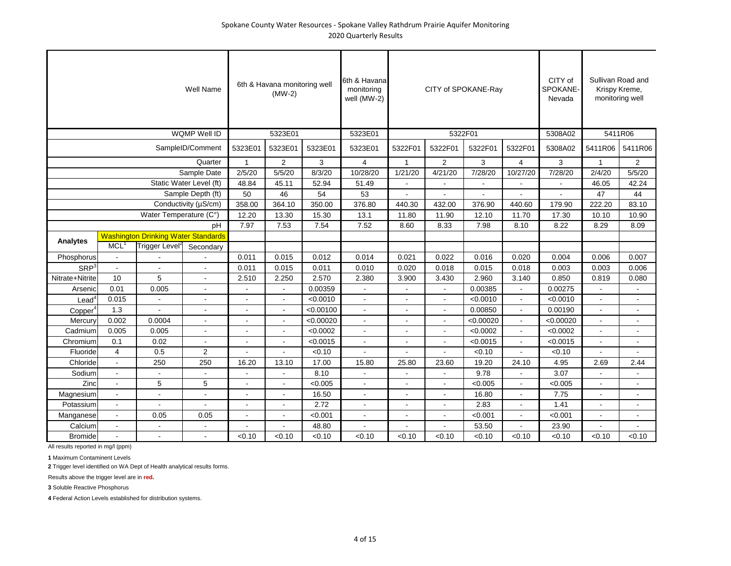|                     |                    |                                            | Well Name                |                | 6th & Havana monitoring well<br>$(MW-2)$ |           | 6th & Havanal<br>monitoring<br>well (MW-2) |                          |                | CITY of SPOKANE-Ray |                | CITY of<br>SPOKANE-<br>Nevada |              | Sullivan Road and<br>Krispy Kreme,<br>monitoring well |
|---------------------|--------------------|--------------------------------------------|--------------------------|----------------|------------------------------------------|-----------|--------------------------------------------|--------------------------|----------------|---------------------|----------------|-------------------------------|--------------|-------------------------------------------------------|
|                     |                    |                                            | <b>WQMP Well ID</b>      |                | 5323E01                                  |           | 5323E01                                    |                          |                | 5322F01             |                | 5308A02                       |              | 5411R06                                               |
|                     |                    |                                            | SampleID/Comment         | 5323E01        | 5323E01                                  | 5323E01   | 5323E01                                    | 5322F01                  | 5322F01        | 5322F01             | 5322F01        | 5308A02                       | 5411R06      | 5411R06                                               |
|                     |                    |                                            | Quarter                  | $\mathbf{1}$   | $\overline{2}$                           | 3         | $\overline{4}$                             | $\mathbf{1}$             | $\overline{2}$ | 3                   | $\overline{4}$ | 3                             | $\mathbf{1}$ | $\overline{2}$                                        |
|                     |                    |                                            | Sample Date              | 2/5/20         | 5/5/20                                   | 8/3/20    | 10/28/20                                   | 1/21/20                  | 4/21/20        | 7/28/20             | 10/27/20       | 7/28/20                       | 2/4/20       | 5/5/20                                                |
|                     |                    |                                            | Static Water Level (ft)  | 48.84          | 45.11                                    | 52.94     | 51.49                                      |                          |                |                     |                |                               | 46.05        | 42.24                                                 |
|                     |                    |                                            | Sample Depth (ft)        | 50             | 46                                       | 54        | 53                                         |                          |                |                     |                |                               | 47           | 44                                                    |
|                     |                    |                                            | Conductivity (µS/cm)     | 358.00         | 364.10                                   | 350.00    | 376.80                                     | 440.30                   | 432.00         | 376.90              | 440.60         | 179.90                        | 222.20       | 83.10                                                 |
|                     |                    | Water Temperature (C°)                     |                          | 12.20          | 13.30                                    | 15.30     | 13.1                                       | 11.80                    | 11.90          | 12.10               | 11.70          | 17.30                         | 10.10        | 10.90                                                 |
|                     |                    |                                            | pH                       | 7.97           | 7.53                                     | 7.54      | 7.52                                       | 8.60                     | 8.33           | 7.98                | 8.10           | 8.22                          | 8.29         | 8.09                                                  |
| Analytes            |                    | <b>Washington Drinking Water Standards</b> |                          |                |                                          |           |                                            |                          |                |                     |                |                               |              |                                                       |
|                     | $MCL$ <sup>1</sup> | Trigger Level <sup>2</sup>                 | Secondary                |                |                                          |           |                                            |                          |                |                     |                |                               |              |                                                       |
| Phosphorus          | $\sim$             |                                            |                          | 0.011          | 0.015                                    | 0.012     | 0.014                                      | 0.021                    | 0.022          | 0.016               | 0.020          | 0.004                         | 0.006        | 0.007                                                 |
| SRP <sup>3</sup>    | $\sim$             |                                            | $\overline{\phantom{a}}$ | 0.011          | 0.015                                    | 0.011     | 0.010                                      | 0.020                    | 0.018          | 0.015               | 0.018          | 0.003                         | 0.003        | 0.006                                                 |
| Nitrate+Nitrite     | 10                 | 5                                          | $\sim$                   | 2.510          | 2.250                                    | 2.570     | 2.380                                      | 3.900                    | 3.430          | 2.960               | 3.140          | 0.850                         | 0.819        | 0.080                                                 |
| Arsenic             | 0.01               | 0.005                                      | $\blacksquare$           |                |                                          | 0.00359   |                                            |                          |                | 0.00385             | $\blacksquare$ | 0.00275                       |              | $\blacksquare$                                        |
| Lead                | 0.015              |                                            | $\blacksquare$           | $\blacksquare$ |                                          | < 0.0010  | $\blacksquare$                             | $\overline{\phantom{a}}$ | $\blacksquare$ | < 0.0010            | $\blacksquare$ | < 0.0010                      |              | $\blacksquare$                                        |
| Copper <sup>4</sup> | 1.3                |                                            | $\blacksquare$           | $\blacksquare$ |                                          | < 0.00100 | $\sim$                                     | $\overline{\phantom{a}}$ | $\blacksquare$ | 0.00850             | $\sim$         | 0.00190                       | $\sim$       | $\sim$                                                |
| Mercury             | 0.002              | 0.0004                                     | $\blacksquare$           | $\blacksquare$ |                                          | < 0.00020 | ÷.                                         | $\sim$                   | $\blacksquare$ | < 0.00020           | $\blacksquare$ | < 0.00020                     |              | $\blacksquare$                                        |
| Cadmium             | 0.005              | 0.005                                      | $\blacksquare$           | $\blacksquare$ |                                          | < 0.0002  | $\blacksquare$                             |                          | $\blacksquare$ | < 0.0002            | $\sim$         | < 0.0002                      |              | $\blacksquare$                                        |
| Chromium            | 0.1                | 0.02                                       |                          | $\blacksquare$ |                                          | < 0.0015  | $\blacksquare$                             |                          | $\blacksquare$ | < 0.0015            | $\sim$         | < 0.0015                      |              | $\blacksquare$                                        |
| Fluoride            | 4                  | 0.5                                        | 2                        |                |                                          | < 0.10    |                                            |                          |                | < 0.10              |                | < 0.10                        |              |                                                       |
| Chloride            | $\blacksquare$     | 250                                        | 250                      | 16.20          | 13.10                                    | 17.00     | 15.80                                      | 25.80                    | 23.60          | 19.20               | 24.10          | 4.95                          | 2.69         | 2.44                                                  |
| Sodium              | $\blacksquare$     |                                            |                          |                |                                          | 8.10      |                                            |                          |                | 9.78                |                | 3.07                          |              |                                                       |
| Zinc                | $\sim$             | 5                                          | 5                        |                |                                          | < 0.005   | ä,                                         |                          |                | < 0.005             | $\blacksquare$ | < 0.005                       |              | $\blacksquare$                                        |
| Magnesium           | $\sim$             |                                            | $\blacksquare$           | $\blacksquare$ |                                          | 16.50     | $\blacksquare$                             | $\blacksquare$           | $\blacksquare$ | 16.80               | $\sim$         | 7.75                          |              | $\blacksquare$                                        |
| Potassium           | $\blacksquare$     |                                            |                          | $\blacksquare$ |                                          | 2.72      | $\blacksquare$                             | $\blacksquare$           | $\blacksquare$ | 2.83                | $\blacksquare$ | 1.41                          |              | $\blacksquare$                                        |
| Manganese           | $\sim$             | 0.05                                       | 0.05                     | $\blacksquare$ |                                          | < 0.001   | $\sim$                                     | $\overline{\phantom{a}}$ | $\blacksquare$ | < 0.001             | $\sim$         | < 0.001                       |              | $\blacksquare$                                        |
| Calcium             | $\blacksquare$     |                                            |                          |                |                                          | 48.80     |                                            |                          |                | 53.50               |                | 23.90                         |              |                                                       |
| <b>Bromide</b>      |                    |                                            |                          | < 0.10         | < 0.10                                   | < 0.10    | < 0.10                                     | < 0.10                   | < 0.10         | < 0.10              | < 0.10         | < 0.10                        | < 0.10       | < 0.10                                                |

All results reported in mg/l (ppm)

**1** Maximum Contaminent Levels

**2** Trigger level identified on WA Dept of Health analytical results forms.

Results above the trigger level are in **red.**

**3** Soluble Reactive Phosphorus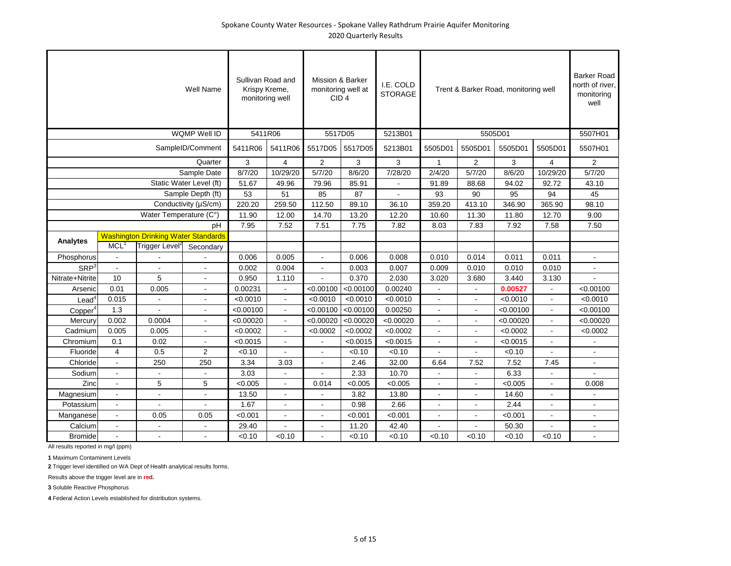|                         |                  |                                            | Well Name                | Sullivan Road and<br>Krispy Kreme,<br>monitoring well |                          | Mission & Barker<br>monitoring well at<br>CID <sub>4</sub> |           | I.E. COLD<br><b>STORAGE</b> |                          |                          | Trent & Barker Road, monitoring well |                | <b>Barker Road</b><br>north of river.<br>monitoring<br>well |
|-------------------------|------------------|--------------------------------------------|--------------------------|-------------------------------------------------------|--------------------------|------------------------------------------------------------|-----------|-----------------------------|--------------------------|--------------------------|--------------------------------------|----------------|-------------------------------------------------------------|
|                         |                  |                                            | <b>WQMP Well ID</b>      | 5411R06                                               |                          | 5517D05                                                    |           | 5213B01                     |                          |                          | 5505D01                              |                | 5507H01                                                     |
|                         |                  |                                            | SampleID/Comment         | 5411R06                                               | 5411R06                  | 5517D05                                                    | 5517D05   | 5213B01                     | 5505D01                  | 5505D01                  | 5505D01                              | 5505D01        | 5507H01                                                     |
|                         |                  |                                            | Quarter                  | 3                                                     | $\overline{4}$           | $\overline{2}$                                             | 3         | 3                           | $\mathbf{1}$             | $\overline{2}$           | 3                                    | $\overline{4}$ | $\overline{2}$                                              |
|                         |                  |                                            | Sample Date              | 8/7/20                                                | 10/29/20                 | 5/7/20                                                     | 8/6/20    | 7/28/20                     | 2/4/20                   | 5/7/20                   | 8/6/20                               | 10/29/20       | 5/7/20                                                      |
|                         |                  |                                            | Static Water Level (ft)  | 51.67                                                 | 49.96                    | 79.96                                                      | 85.91     |                             | 91.89                    | 88.68                    | 94.02                                | 92.72          | 43.10                                                       |
|                         |                  |                                            | Sample Depth (ft)        | 53                                                    | 51                       | 85                                                         | 87        |                             | 93                       | 90                       | 95                                   | 94             | 45                                                          |
|                         |                  |                                            | Conductivity (µS/cm)     | 220.20                                                | 259.50                   | 112.50                                                     | 89.10     | 36.10                       | 359.20                   | 413.10                   | 346.90                               | 365.90         | 98.10                                                       |
|                         |                  | Water Temperature (C°)                     |                          | 11.90                                                 | 12.00                    | 14.70                                                      | 13.20     | 12.20                       | 10.60                    | 11.30                    | 11.80                                | 12.70          | 9.00                                                        |
|                         |                  |                                            | рH                       | 7.95                                                  | 7.52                     | 7.51                                                       | 7.75      | 7.82                        | 8.03                     | 7.83                     | 7.92                                 | 7.58           | 7.50                                                        |
|                         |                  | <b>Washington Drinking Water Standards</b> |                          |                                                       |                          |                                                            |           |                             |                          |                          |                                      |                |                                                             |
| Analytes                | MCL <sup>1</sup> | Trigger Level <sup>2</sup>                 | Secondary                |                                                       |                          |                                                            |           |                             |                          |                          |                                      |                |                                                             |
| Phosphorus              | $\blacksquare$   |                                            |                          | 0.006                                                 | 0.005                    |                                                            | 0.006     | 0.008                       | 0.010                    | 0.014                    | 0.011                                | 0.011          |                                                             |
| <b>SRP</b> <sup>3</sup> | $\blacksquare$   |                                            | $\blacksquare$           | 0.002                                                 | 0.004                    |                                                            | 0.003     | 0.007                       | 0.009                    | 0.010                    | 0.010                                | 0.010          |                                                             |
| Nitrate+Nitrite         | 10               | 5                                          | $\overline{a}$           | 0.950                                                 | 1.110                    |                                                            | 0.370     | 2.030                       | 3.020                    | 3.680                    | 3.440                                | 3.130          |                                                             |
| Arsenic                 | 0.01             | 0.005                                      | $\overline{\phantom{a}}$ | 0.00231                                               | $\blacksquare$           | < 0.00100                                                  | < 0.00100 | 0.00240                     |                          | $\blacksquare$           | 0.00527                              |                | < 0.00100                                                   |
| $\textsf{lead}^4$       | 0.015            |                                            |                          | < 0.0010                                              | $\overline{a}$           | < 0.0010                                                   | < 0.0010  | < 0.0010                    | ÷.                       | $\overline{a}$           | < 0.0010                             | $\overline{a}$ | < 0.0010                                                    |
| Copper <sup>4</sup>     | 1.3              |                                            | $\overline{a}$           | < 0.00100                                             | $\blacksquare$           | < 0.00100                                                  | < 0.00100 | 0.00250                     | $\overline{a}$           | $\overline{\phantom{a}}$ | < 0.00100                            | $\sim$         | < 0.00100                                                   |
| Mercury                 | 0.002            | 0.0004                                     | $\blacksquare$           | < 0.00020                                             | $\blacksquare$           | < 0.00020                                                  | < 0.00020 | < 0.00020                   | $\overline{\phantom{a}}$ | $\overline{\phantom{a}}$ | < 0.00020                            |                | < 0.00020                                                   |
| Cadmium                 | 0.005            | 0.005                                      | $\overline{a}$           | < 0.0002                                              | $\overline{a}$           | < 0.0002                                                   | < 0.0002  | < 0.0002                    | ÷.                       | $\overline{a}$           | < 0.0002                             | $\overline{a}$ | < 0.0002                                                    |
| Chromium                | 0.1              | 0.02                                       | $\overline{a}$           | < 0.0015                                              | $\overline{a}$           |                                                            | < 0.0015  | < 0.0015                    |                          | $\overline{\phantom{a}}$ | < 0.0015                             |                |                                                             |
| Fluoride                | 4                | 0.5                                        | 2                        | < 0.10                                                |                          |                                                            | < 0.10    | < 0.10                      |                          |                          | < 0.10                               |                |                                                             |
| Chloride                | $\blacksquare$   | 250                                        | 250                      | 3.34                                                  | 3.03                     |                                                            | 2.46      | 32.00                       | 6.64                     | 7.52                     | 7.52                                 | 7.45           |                                                             |
| Sodium                  |                  |                                            |                          | 3.03                                                  |                          |                                                            | 2.33      | 10.70                       |                          | ÷                        | 6.33                                 |                |                                                             |
| Zinc                    | $\overline{a}$   | 5                                          | 5                        | < 0.005                                               | $\overline{a}$           | 0.014                                                      | < 0.005   | < 0.005                     |                          | ÷.                       | < 0.005                              |                | 0.008                                                       |
| Magnesium               | $\blacksquare$   | $\overline{a}$                             | $\overline{\phantom{a}}$ | 13.50                                                 | $\overline{\phantom{a}}$ |                                                            | 3.82      | 13.80                       | $\overline{a}$           | $\overline{a}$           | 14.60                                | $\blacksquare$ |                                                             |
| Potassium               | $\overline{a}$   |                                            |                          | 1.67                                                  | ÷.                       |                                                            | 0.98      | 2.66                        |                          | $\overline{a}$           | 2.44                                 | ÷              |                                                             |
| Manganese               | $\overline{a}$   | 0.05                                       | 0.05                     | < 0.001                                               | $\overline{a}$           | ÷                                                          | < 0.001   | < 0.001                     |                          | ÷                        | < 0.001                              | $\overline{a}$ | ÷                                                           |
| Calcium                 | $\overline{a}$   |                                            |                          | 29.40                                                 |                          |                                                            | 11.20     | 42.40                       |                          |                          | 50.30                                |                |                                                             |
| <b>Bromide</b>          |                  |                                            |                          | < 0.10                                                | < 0.10                   |                                                            | < 0.10    | < 0.10                      | < 0.10                   | < 0.10                   | < 0.10                               | < 0.10         |                                                             |

All results reported in mg/l (ppm)

**1** Maximum Contaminent Levels

**2** Trigger level identified on WA Dept of Health analytical results forms.

Results above the trigger level are in **red.**

**3** Soluble Reactive Phosphorus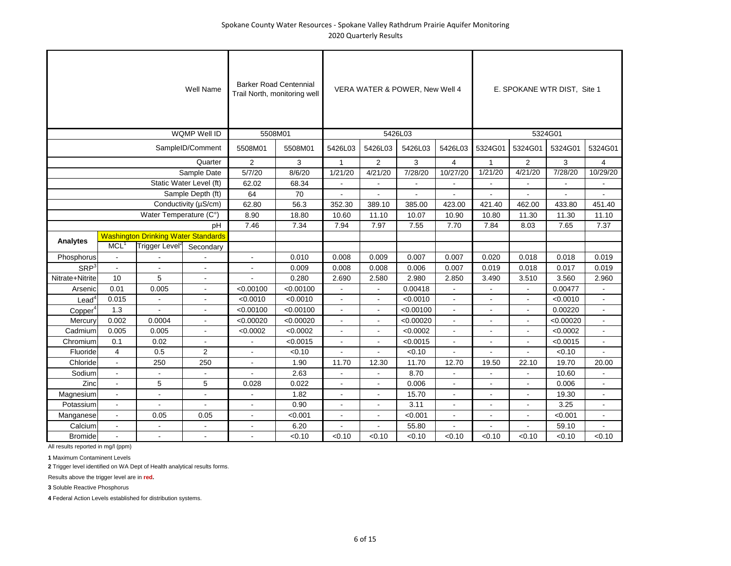|                     |                  |                                            | Well Name               |                | <b>Barker Road Centennial</b><br>Trail North, monitoring well |                          |                | VERA WATER & POWER, New Well 4 |                |              |                | E. SPOKANE WTR DIST, Site 1 |                |
|---------------------|------------------|--------------------------------------------|-------------------------|----------------|---------------------------------------------------------------|--------------------------|----------------|--------------------------------|----------------|--------------|----------------|-----------------------------|----------------|
|                     |                  |                                            | <b>WQMP Well ID</b>     |                | 5508M01                                                       |                          |                | 5426L03                        |                |              |                | 5324G01                     |                |
|                     |                  |                                            | SampleID/Comment        | 5508M01        | 5508M01                                                       | 5426L03                  | 5426L03        | 5426L03                        | 5426L03        | 5324G01      | 5324G01        | 5324G01                     | 5324G01        |
|                     |                  |                                            | Quarter                 | 2              | 3                                                             | $\mathbf{1}$             | $\overline{2}$ | 3                              | $\overline{4}$ | $\mathbf{1}$ | $\overline{2}$ | 3                           | $\overline{4}$ |
|                     |                  |                                            | Sample Date             | 5/7/20         | 8/6/20                                                        | 1/21/20                  | 4/21/20        | 7/28/20                        | 10/27/20       | 1/21/20      | 4/21/20        | 7/28/20                     | 10/29/20       |
|                     |                  |                                            | Static Water Level (ft) | 62.02          | 68.34                                                         |                          |                |                                |                |              |                |                             |                |
|                     |                  |                                            | Sample Depth (ft)       | 64             | 70                                                            |                          |                |                                |                |              |                |                             |                |
|                     |                  |                                            | Conductivity (µS/cm)    | 62.80          | 56.3                                                          | 352.30                   | 389.10         | 385.00                         | 423.00         | 421.40       | 462.00         | 433.80                      | 451.40         |
|                     |                  | Water Temperature (C°)                     |                         | 8.90           | 18.80                                                         | 10.60                    | 11.10          | 10.07                          | 10.90          | 10.80        | 11.30          | 11.30                       | 11.10          |
|                     |                  |                                            | pH                      | 7.46           | 7.34                                                          | 7.94                     | 7.97           | 7.55                           | 7.70           | 7.84         | 8.03           | 7.65                        | 7.37           |
|                     |                  | <b>Washington Drinking Water Standards</b> |                         |                |                                                               |                          |                |                                |                |              |                |                             |                |
| Analytes            | MCL <sup>1</sup> | Trigger Level <sup>2</sup>                 | Secondary               |                |                                                               |                          |                |                                |                |              |                |                             |                |
| Phosphorus          | $\blacksquare$   |                                            |                         | $\blacksquare$ | 0.010                                                         | 0.008                    | 0.009          | 0.007                          | 0.007          | 0.020        | 0.018          | 0.018                       | 0.019          |
| SRP <sup>3</sup>    | $\sim$           |                                            | $\sim$                  |                | 0.009                                                         | 0.008                    | 0.008          | 0.006                          | 0.007          | 0.019        | 0.018          | 0.017                       | 0.019          |
| Nitrate+Nitrite     | 10               | 5                                          |                         |                | 0.280                                                         | 2.690                    | 2.580          | 2.980                          | 2.850          | 3.490        | 3.510          | 3.560                       | 2.960          |
| Arsenic             | 0.01             | 0.005                                      |                         | < 0.00100      | < 0.00100                                                     |                          | $\blacksquare$ | 0.00418                        |                |              |                | 0.00477                     |                |
| $\text{Lead}^4$     | 0.015            |                                            |                         | < 0.0010       | < 0.0010                                                      | $\overline{\phantom{a}}$ | $\blacksquare$ | < 0.0010                       |                |              |                | < 0.0010                    |                |
| Copper <sup>4</sup> | 1.3              |                                            |                         | < 0.00100      | < 0.00100                                                     | $\overline{\phantom{a}}$ | ÷.             | < 0.00100                      |                |              | $\overline{a}$ | 0.00220                     |                |
| Mercury             | 0.002            | 0.0004                                     | $\sim$                  | < 0.00020      | < 0.00020                                                     | $\overline{a}$           | $\overline{a}$ | < 0.00020                      | $\overline{a}$ |              | $\overline{a}$ | < 0.00020                   | $\overline{a}$ |
| Cadmium             | 0.005            | 0.005                                      | $\sim$                  | < 0.0002       | < 0.0002                                                      | $\overline{a}$           | $\overline{a}$ | < 0.0002                       |                |              | $\overline{a}$ | < 0.0002                    | $\overline{a}$ |
| Chromium            | 0.1              | 0.02                                       | $\overline{a}$          |                | < 0.0015                                                      | $\overline{a}$           | ÷.             | < 0.0015                       |                |              | ÷              | < 0.0015                    | $\overline{a}$ |
| Fluoride            | $\overline{4}$   | 0.5                                        | $\overline{2}$          |                | < 0.10                                                        |                          |                | < 0.10                         |                |              |                | < 0.10                      |                |
| Chloride            | $\mathbf{r}$     | 250                                        | 250                     | $\overline{a}$ | 1.90                                                          | 11.70                    | 12.30          | 11.70                          | 12.70          | 19.50        | 22.10          | 19.70                       | 20.00          |
| Sodium              |                  |                                            |                         |                | 2.63                                                          |                          |                | 8.70                           |                |              |                | 10.60                       |                |
| Zinc                | $\overline{a}$   | 5                                          | 5                       | 0.028          | 0.022                                                         |                          |                | 0.006                          |                |              |                | 0.006                       | ÷              |
| Magnesium           |                  | ÷                                          | $\overline{a}$          |                | 1.82                                                          |                          |                | 15.70                          |                |              |                | 19.30                       | $\sim$         |
| Potassium           |                  |                                            |                         |                | 0.90                                                          |                          |                | 3.11                           |                |              |                | 3.25                        |                |
| Manganese           |                  | 0.05                                       | 0.05                    |                | < 0.001                                                       |                          |                | < 0.001                        |                |              |                | < 0.001                     |                |
| Calcium             |                  |                                            |                         |                | 6.20                                                          |                          |                | 55.80                          |                |              |                | 59.10                       |                |
| <b>Bromide</b>      |                  |                                            |                         |                | < 0.10                                                        | < 0.10                   | < 0.10         | < 0.10                         | < 0.10         | < 0.10       | < 0.10         | < 0.10                      | < 0.10         |

**1** Maximum Contaminent Levels

**2** Trigger level identified on WA Dept of Health analytical results forms.

Results above the trigger level are in **red.**

**3** Soluble Reactive Phosphorus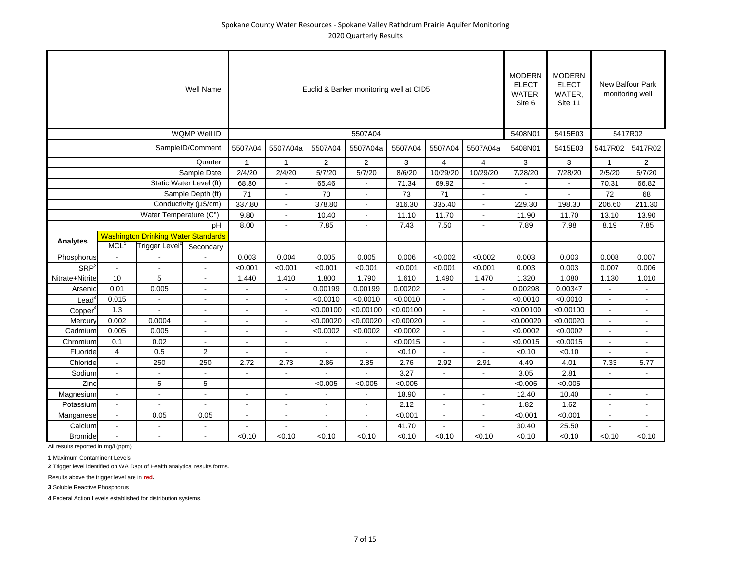|                     |                  |                                            | Well Name               |                |                |           | Euclid & Barker monitoring well at CID5 |           |                |                | <b>MODERN</b><br><b>ELECT</b><br>WATER,<br>Site 6 | <b>MODERN</b><br><b>ELECT</b><br>WATER,<br>Site 11 |                | <b>New Balfour Park</b><br>monitoring well |
|---------------------|------------------|--------------------------------------------|-------------------------|----------------|----------------|-----------|-----------------------------------------|-----------|----------------|----------------|---------------------------------------------------|----------------------------------------------------|----------------|--------------------------------------------|
|                     |                  |                                            | WQMP Well ID            |                |                |           | 5507A04                                 |           |                |                | 5408N01                                           | 5415E03                                            |                | 5417R02                                    |
|                     |                  |                                            | SampleID/Comment        | 5507A04        | 5507A04a       | 5507A04   | 5507A04a                                | 5507A04   | 5507A04        | 5507A04a       | 5408N01                                           | 5415E03                                            | 5417R02        | 5417R02                                    |
|                     |                  |                                            | Quarter                 | $\mathbf{1}$   | $\mathbf{1}$   | 2         | 2                                       | 3         | $\overline{4}$ | $\overline{4}$ | 3                                                 | 3                                                  | $\mathbf{1}$   | $\overline{2}$                             |
|                     |                  |                                            | Sample Date             | 2/4/20         | 2/4/20         | 5/7/20    | 5/7/20                                  | 8/6/20    | 10/29/20       | 10/29/20       | 7/28/20                                           | 7/28/20                                            | 2/5/20         | 5/7/20                                     |
|                     |                  |                                            | Static Water Level (ft) | 68.80          |                | 65.46     |                                         | 71.34     | 69.92          |                |                                                   |                                                    | 70.31          | 66.82                                      |
|                     |                  |                                            | Sample Depth (ft)       | 71             |                | 70        |                                         | 73        | 71             |                |                                                   |                                                    | 72             | 68                                         |
|                     |                  |                                            | Conductivity (µS/cm)    | 337.80         | $\blacksquare$ | 378.80    | $\sim$                                  | 316.30    | 335.40         |                | 229.30                                            | 198.30                                             | 206.60         | 211.30                                     |
|                     |                  | Water Temperature (C°)                     |                         | 9.80           |                | 10.40     | $\sim$                                  | 11.10     | 11.70          |                | 11.90                                             | 11.70                                              | 13.10          | 13.90                                      |
|                     |                  |                                            | pH                      | 8.00           |                | 7.85      | $\sim$                                  | 7.43      | 7.50           |                | 7.89                                              | 7.98                                               | 8.19           | 7.85                                       |
|                     |                  | <b>Washington Drinking Water Standards</b> |                         |                |                |           |                                         |           |                |                |                                                   |                                                    |                |                                            |
| Analytes            | MCL <sup>1</sup> | Trigger Level <sup>2</sup>                 | Secondary               |                |                |           |                                         |           |                |                |                                                   |                                                    |                |                                            |
| Phosphorus          | $\blacksquare$   |                                            |                         | 0.003          | 0.004          | 0.005     | 0.005                                   | 0.006     | < 0.002        | < 0.002        | 0.003                                             | 0.003                                              | 0.008          | 0.007                                      |
| SRP <sup>3</sup>    | $\blacksquare$   |                                            |                         | < 0.001        | < 0.001        | < 0.001   | < 0.001                                 | < 0.001   | < 0.001        | < 0.001        | 0.003                                             | 0.003                                              | 0.007          | 0.006                                      |
| Nitrate+Nitrite     | 10               | 5                                          |                         | 1.440          | 1.410          | 1.800     | 1.790                                   | 1.610     | 1.490          | 1.470          | 1.320                                             | 1.080                                              | 1.130          | 1.010                                      |
| Arsenic             | 0.01             | 0.005                                      |                         |                |                | 0.00199   | 0.00199                                 | 0.00202   |                |                | 0.00298                                           | 0.00347                                            |                |                                            |
| Lead                | 0.015            |                                            |                         |                |                | < 0.0010  | < 0.0010                                | < 0.0010  |                |                | < 0.0010                                          | < 0.0010                                           |                |                                            |
| Copper <sup>4</sup> | 1.3              |                                            |                         |                |                | < 0.00100 | < 0.00100                               | < 0.00100 | $\blacksquare$ |                | < 0.00100                                         | < 0.00100                                          | $\blacksquare$ |                                            |
| Mercury             | 0.002            | 0.0004                                     |                         |                |                | < 0.00020 | < 0.00020                               | < 0.00020 |                |                | < 0.00020                                         | < 0.00020                                          | $\blacksquare$ |                                            |
| Cadmium             | 0.005            | 0.005                                      |                         |                |                | < 0.0002  | < 0.0002                                | < 0.0002  |                |                | < 0.0002                                          | < 0.0002                                           | $\blacksquare$ |                                            |
| Chromium            | 0.1              | 0.02                                       |                         |                |                |           |                                         | < 0.0015  |                |                | < 0.0015                                          | < 0.0015                                           |                |                                            |
| Fluoride            | $\overline{4}$   | 0.5                                        | $\overline{2}$          |                |                |           |                                         | < 0.10    |                |                | < 0.10                                            | < 0.10                                             |                |                                            |
| Chloride            | $\mathbf{r}$     | 250                                        | 250                     | 2.72           | 2.73           | 2.86      | 2.85                                    | 2.76      | 2.92           | 2.91           | 4.49                                              | 4.01                                               | 7.33           | 5.77                                       |
| Sodium              | $\blacksquare$   |                                            |                         |                |                |           |                                         | 3.27      |                |                | 3.05                                              | 2.81                                               |                |                                            |
| Zinc                | $\blacksquare$   | 5                                          | 5                       |                |                | < 0.005   | < 0.005                                 | < 0.005   |                |                | < 0.005                                           | < 0.005                                            | $\blacksquare$ | $\overline{\phantom{a}}$                   |
| Magnesium           | $\blacksquare$   | $\blacksquare$                             |                         | $\blacksquare$ |                |           |                                         | 18.90     |                |                | 12.40                                             | 10.40                                              | $\blacksquare$ |                                            |
| Potassium           | $\blacksquare$   |                                            |                         |                |                |           |                                         | 2.12      |                |                | 1.82                                              | 1.62                                               |                |                                            |
| Manganese           | $\blacksquare$   | 0.05                                       | 0.05                    | $\blacksquare$ |                |           |                                         | < 0.001   |                |                | < 0.001                                           | < 0.001                                            |                | $\overline{\phantom{a}}$                   |
| Calcium             | $\blacksquare$   |                                            |                         |                |                |           |                                         | 41.70     |                |                | 30.40                                             | 25.50                                              |                |                                            |
| Bromide             |                  |                                            |                         | < 0.10         | < 0.10         | < 0.10    | < 0.10                                  | < 0.10    | < 0.10         | < 0.10         | < 0.10                                            | < 0.10                                             | < 0.10         | < 0.10                                     |

**1** Maximum Contaminent Levels

**2** Trigger level identified on WA Dept of Health analytical results forms.

Results above the trigger level are in **red.**

**3** Soluble Reactive Phosphorus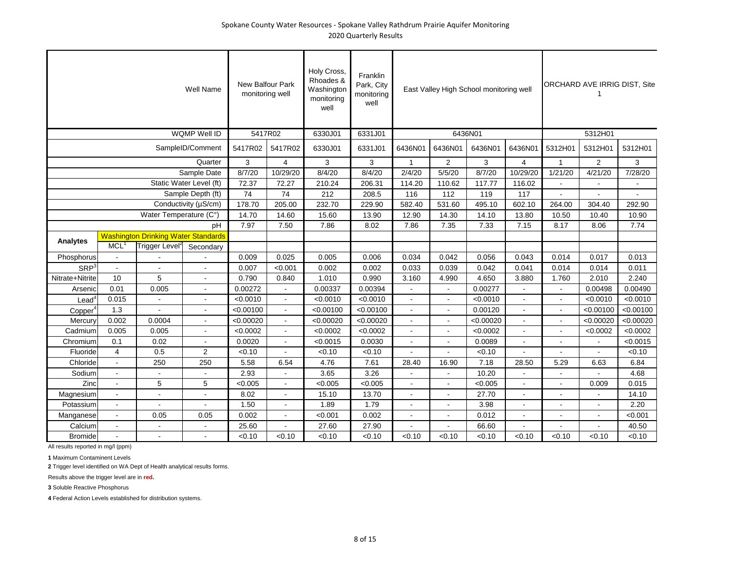|                          |                  |                                            | Well Name                | New Balfour Park<br>monitoring well |                | Holy Cross,<br>Rhoades &<br>Washington<br>monitoring<br>well | Franklin<br>Park, City<br>monitoring<br>well |                          |                | East Valley High School monitoring well |                          |              | ORCHARD AVE IRRIG DIST, Site |                          |
|--------------------------|------------------|--------------------------------------------|--------------------------|-------------------------------------|----------------|--------------------------------------------------------------|----------------------------------------------|--------------------------|----------------|-----------------------------------------|--------------------------|--------------|------------------------------|--------------------------|
|                          |                  |                                            | WQMP Well ID             | 5417R02                             |                | 6330J01                                                      | 6331J01                                      |                          |                | 6436N01                                 |                          |              | 5312H01                      |                          |
|                          |                  |                                            | SampleID/Comment         | 5417R02                             | 5417R02        | 6330J01                                                      | 6331J01                                      | 6436N01                  | 6436N01        | 6436N01                                 | 6436N01                  | 5312H01      | 5312H01                      | 5312H01                  |
|                          |                  |                                            | Quarter                  | 3                                   | $\overline{4}$ | 3                                                            | 3                                            | $\mathbf{1}$             | $\overline{2}$ | 3                                       | $\overline{4}$           | $\mathbf{1}$ | 2                            | 3                        |
|                          |                  |                                            | Sample Date              | 8/7/20                              | 10/29/20       | 8/4/20                                                       | 8/4/20                                       | 2/4/20                   | 5/5/20         | 8/7/20                                  | 10/29/20                 | 1/21/20      | 4/21/20                      | 7/28/20                  |
|                          |                  |                                            | Static Water Level (ft)  | 72.37                               | 72.27          | 210.24                                                       | 206.31                                       | 114.20                   | 110.62         | 117.77                                  | 116.02                   |              |                              | $\overline{\phantom{a}}$ |
|                          |                  |                                            | Sample Depth (ft)        | 74                                  | 74             | 212                                                          | 208.5                                        | 116                      | 112            | 119                                     | 117                      |              |                              |                          |
|                          |                  |                                            | Conductivity (µS/cm)     | 178.70                              | 205.00         | 232.70                                                       | 229.90                                       | 582.40                   | 531.60         | 495.10                                  | 602.10                   | 264.00       | 304.40                       | 292.90                   |
|                          |                  | Water Temperature (C°)                     |                          | 14.70                               | 14.60          | 15.60                                                        | 13.90                                        | 12.90                    | 14.30          | 14.10                                   | 13.80                    | 10.50        | 10.40                        | 10.90                    |
|                          |                  |                                            | pH                       | 7.97                                | 7.50           | 7.86                                                         | 8.02                                         | 7.86                     | 7.35           | 7.33                                    | 7.15                     | 8.17         | 8.06                         | 7.74                     |
|                          |                  | <b>Washington Drinking Water Standards</b> |                          |                                     |                |                                                              |                                              |                          |                |                                         |                          |              |                              |                          |
| Analytes                 | MCL <sup>1</sup> | Trigger Level <sup>2</sup>                 | Secondary                |                                     |                |                                                              |                                              |                          |                |                                         |                          |              |                              |                          |
| Phosphorus               | $\blacksquare$   |                                            |                          | 0.009                               | 0.025          | 0.005                                                        | 0.006                                        | 0.034                    | 0.042          | 0.056                                   | 0.043                    | 0.014        | 0.017                        | 0.013                    |
| <b>SRP</b>               | $\blacksquare$   |                                            | $\sim$                   | 0.007                               | < 0.001        | 0.002                                                        | 0.002                                        | 0.033                    | 0.039          | 0.042                                   | 0.041                    | 0.014        | 0.014                        | 0.011                    |
| Nitrate+Nitrite          | 10               | 5                                          | $\sim$                   | 0.790                               | 0.840          | 1.010                                                        | 0.990                                        | 3.160                    | 4.990          | 4.650                                   | 3.880                    | 1.760        | 2.010                        | 2.240                    |
| Arsenic                  | 0.01             | 0.005                                      | $\sim$                   | 0.00272                             | $\sim$         | 0.00337                                                      | 0.00394                                      |                          |                | 0.00277                                 | $\overline{\phantom{a}}$ |              | 0.00498                      | 0.00490                  |
| $\text{Lead}^{\text{c}}$ | 0.015            |                                            | $\sim$                   | < 0.0010                            | $\blacksquare$ | < 0.0010                                                     | < 0.0010                                     |                          |                | < 0.0010                                | $\sim$                   |              | < 0.0010                     | < 0.0010                 |
| Copper <sup>4</sup>      | 1.3              |                                            | $\sim$                   | < 0.00100                           | $\blacksquare$ | < 0.00100                                                    | < 0.00100                                    | $\sim$                   |                | 0.00120                                 | $\sim$                   |              | < 0.00100                    | < 0.00100                |
| Mercury                  | 0.002            | 0.0004                                     | $\overline{\phantom{a}}$ | < 0.00020                           | $\sim$         | < 0.00020                                                    | < 0.00020                                    |                          |                | < 0.00020                               | $\sim$                   |              | < 0.00020                    | < 0.00020                |
| Cadmium                  | 0.005            | 0.005                                      |                          | < 0.0002                            | $\blacksquare$ | < 0.0002                                                     | < 0.0002                                     |                          |                | < 0.0002                                | $\blacksquare$           |              | < 0.0002                     | < 0.0002                 |
| Chromium                 | 0.1              | 0.02                                       | $\sim$                   | 0.0020                              | $\sim$         | < 0.0015                                                     | 0.0030                                       | $\overline{\phantom{a}}$ |                | 0.0089                                  | $\sim$                   |              |                              | < 0.0015                 |
| Fluoride                 | $\overline{4}$   | 0.5                                        | $\overline{2}$           | < 0.10                              |                | < 0.10                                                       | < 0.10                                       |                          |                | < 0.10                                  |                          |              |                              | < 0.10                   |
| Chloride                 | $\blacksquare$   | 250                                        | 250                      | 5.58                                | 6.54           | 4.76                                                         | 7.61                                         | 28.40                    | 16.90          | 7.18                                    | 28.50                    | 5.29         | 6.63                         | 6.84                     |
| Sodium                   | $\blacksquare$   |                                            |                          | 2.93                                | $\blacksquare$ | 3.65                                                         | 3.26                                         |                          |                | 10.20                                   | $\blacksquare$           |              |                              | 4.68                     |
| Zinc                     | $\blacksquare$   | 5                                          | 5                        | < 0.005                             | $\blacksquare$ | < 0.005                                                      | < 0.005                                      |                          |                | < 0.005                                 | $\blacksquare$           |              | 0.009                        | 0.015                    |
| Magnesium                | $\blacksquare$   | $\blacksquare$                             | $\sim$                   | 8.02                                | $\sim$         | 15.10                                                        | 13.70                                        | $\overline{\phantom{a}}$ |                | 27.70                                   | $\sim$                   |              |                              | 14.10                    |
| Potassium                | $\blacksquare$   |                                            |                          | 1.50                                | $\blacksquare$ | 1.89                                                         | 1.79                                         | $\overline{\phantom{a}}$ |                | 3.98                                    | $\blacksquare$           |              |                              | 2.20                     |
| Manganese                | $\blacksquare$   | 0.05                                       | 0.05                     | 0.002                               | $\sim$         | < 0.001                                                      | 0.002                                        | $\overline{\phantom{a}}$ |                | 0.012                                   | $\sim$                   |              |                              | < 0.001                  |
| Calcium                  | $\blacksquare$   |                                            |                          | 25.60                               |                | 27.60                                                        | 27.90                                        |                          |                | 66.60                                   |                          |              |                              | 40.50                    |
| <b>Bromide</b>           |                  |                                            |                          | < 0.10                              | < 0.10         | < 0.10                                                       | < 0.10                                       | < 0.10                   | < 0.10         | < 0.10                                  | < 0.10                   | < 0.10       | < 0.10                       | < 0.10                   |

All results reported in mg/l (ppm)

**1** Maximum Contaminent Levels

**2** Trigger level identified on WA Dept of Health analytical results forms.

Results above the trigger level are in **red.**

**3** Soluble Reactive Phosphorus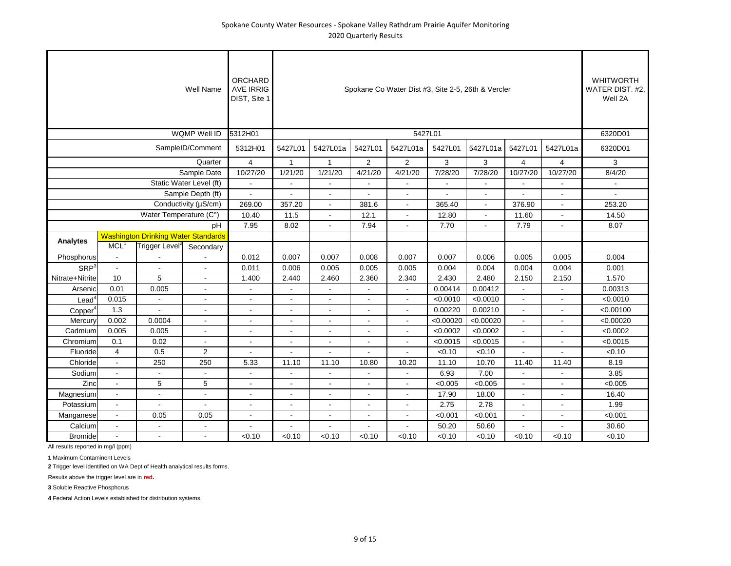|                          |                    |                                            | Well Name                | <b>ORCHARD</b><br><b>AVE IRRIG</b><br>DIST, Site 1 |                          |                          |                | Spokane Co Water Dist #3, Site 2-5, 26th & Vercler |           |                              |                |                          | <b>WHITWORTH</b><br>WATER DIST. #2,<br>Well 2A |
|--------------------------|--------------------|--------------------------------------------|--------------------------|----------------------------------------------------|--------------------------|--------------------------|----------------|----------------------------------------------------|-----------|------------------------------|----------------|--------------------------|------------------------------------------------|
|                          |                    |                                            | WQMP Well ID             | 5312H01                                            |                          |                          |                |                                                    | 5427L01   |                              |                |                          | 6320D01                                        |
|                          |                    |                                            | SampleID/Comment         | 5312H01                                            | 5427L01                  | 5427L01a                 | 5427L01        | 5427L01a                                           | 5427L01   | 5427L01a                     | 5427L01        | 5427L01a                 | 6320D01                                        |
|                          |                    |                                            | Quarter                  | $\overline{4}$                                     | $\mathbf{1}$             | $\mathbf{1}$             | $\overline{2}$ | 2                                                  | 3         | 3                            | $\overline{4}$ | $\overline{4}$           | 3                                              |
|                          |                    |                                            | Sample Date              | 10/27/20                                           | 1/21/20                  | 1/21/20                  | 4/21/20        | 4/21/20                                            | 7/28/20   | 7/28/20                      | 10/27/20       | 10/27/20                 | 8/4/20                                         |
|                          |                    |                                            | Static Water Level (ft)  |                                                    |                          |                          |                |                                                    |           |                              |                |                          |                                                |
|                          |                    |                                            | Sample Depth (ft)        | $\overline{a}$                                     |                          | $\blacksquare$           |                | $\blacksquare$                                     |           | $\qquad \qquad \blacksquare$ |                |                          |                                                |
|                          |                    |                                            | Conductivity (µS/cm)     | 269.00                                             | 357.20                   | $\blacksquare$           | 381.6          | $\blacksquare$                                     | 365.40    | $\sim$                       | 376.90         |                          | 253.20                                         |
|                          |                    | Water Temperature (C°)                     |                          | 10.40                                              | 11.5                     | $\blacksquare$           | 12.1           | $\blacksquare$                                     | 12.80     | $\blacksquare$               | 11.60          | $\blacksquare$           | 14.50                                          |
|                          |                    |                                            | pH                       | 7.95                                               | 8.02                     | $\blacksquare$           | 7.94           | $\blacksquare$                                     | 7.70      | $\blacksquare$               | 7.79           |                          | 8.07                                           |
| <b>Analytes</b>          |                    | <b>Washington Drinking Water Standards</b> |                          |                                                    |                          |                          |                |                                                    |           |                              |                |                          |                                                |
|                          | $MCL$ <sup>1</sup> | Trigger Level <sup>2</sup>                 | Secondary                |                                                    |                          |                          |                |                                                    |           |                              |                |                          |                                                |
| Phosphorus               | $\blacksquare$     |                                            |                          | 0.012                                              | 0.007                    | 0.007                    | 0.008          | 0.007                                              | 0.007     | 0.006                        | 0.005          | 0.005                    | 0.004                                          |
| SRP <sup>3</sup>         | $\blacksquare$     |                                            | $\blacksquare$           | 0.011                                              | 0.006                    | 0.005                    | 0.005          | 0.005                                              | 0.004     | 0.004                        | 0.004          | 0.004                    | 0.001                                          |
| Nitrate+Nitrite          | 10                 | 5                                          | $\blacksquare$           | 1.400                                              | 2.440                    | 2.460                    | 2.360          | 2.340                                              | 2.430     | 2.480                        | 2.150          | 2.150                    | 1.570                                          |
| Arsenic                  | 0.01               | 0.005                                      | $\sim$                   | $\blacksquare$                                     |                          | $\overline{\phantom{a}}$ |                |                                                    | 0.00414   | 0.00412                      | $\blacksquare$ |                          | 0.00313                                        |
| $\text{Lead}^{\text{c}}$ | 0.015              | $\blacksquare$                             | $\blacksquare$           | $\blacksquare$                                     | $\blacksquare$           | $\blacksquare$           | $\blacksquare$ | $\blacksquare$                                     | < 0.0010  | < 0.0010                     | $\blacksquare$ |                          | < 0.0010                                       |
| Copper <sup>4</sup>      | 1.3                |                                            | $\blacksquare$           | $\blacksquare$                                     | $\blacksquare$           | $\blacksquare$           | $\blacksquare$ | $\blacksquare$                                     | 0.00220   | 0.00210                      | $\blacksquare$ | $\blacksquare$           | < 0.00100                                      |
| Mercury                  | 0.002              | 0.0004                                     | $\blacksquare$           | $\blacksquare$                                     | $\overline{\phantom{a}}$ | $\sim$                   |                | $\blacksquare$                                     | < 0.00020 | < 0.00020                    | $\blacksquare$ | $\overline{\phantom{a}}$ | < 0.00020                                      |
| Cadmium                  | 0.005              | 0.005                                      | ÷                        | $\overline{\phantom{a}}$                           | $\sim$                   | ÷                        | $\overline{a}$ | ÷                                                  | < 0.0002  | < 0.0002                     | $\blacksquare$ | $\sim$                   | < 0.0002                                       |
| Chromium                 | 0.1                | 0.02                                       | $\overline{\phantom{a}}$ | $\overline{\phantom{a}}$                           | $\sim$                   | $\blacksquare$           | L,             | $\blacksquare$                                     | < 0.0015  | < 0.0015                     | $\blacksquare$ |                          | < 0.0015                                       |
| Fluoride                 | $\overline{4}$     | 0.5                                        | $\overline{2}$           |                                                    |                          |                          |                |                                                    | < 0.10    | < 0.10                       |                |                          | < 0.10                                         |
| Chloride                 | $\Delta$           | 250                                        | 250                      | 5.33                                               | 11.10                    | 11.10                    | 10.80          | 10.20                                              | 11.10     | 10.70                        | 11.40          | 11.40                    | 8.19                                           |
| Sodium                   | $\sim$             | $\blacksquare$                             |                          | $\overline{\phantom{a}}$                           |                          | $\blacksquare$           |                |                                                    | 6.93      | 7.00                         | $\blacksquare$ |                          | 3.85                                           |
| Zinc                     | $\sim$             | 5                                          | 5                        | $\overline{a}$                                     | ×.                       | $\blacksquare$           | $\overline{a}$ | ÷.                                                 | < 0.005   | < 0.005                      | $\overline{a}$ |                          | < 0.005                                        |
| Magnesium                | $\sim$             | $\blacksquare$                             | $\overline{\phantom{a}}$ | $\overline{\phantom{a}}$                           |                          | $\blacksquare$           | $\overline{a}$ | $\overline{\phantom{a}}$                           | 17.90     | 18.00                        | $\blacksquare$ |                          | 16.40                                          |
| Potassium                | ÷.                 | ÷.                                         | $\overline{a}$           | $\overline{a}$                                     | $\sim$                   | ÷                        | $\overline{a}$ | ÷                                                  | 2.75      | 2.78                         | $\overline{a}$ | $\sim$                   | 1.99                                           |
| Manganese                | $\sim$             | 0.05                                       | 0.05                     | $\overline{a}$                                     |                          | $\blacksquare$           | $\overline{a}$ | $\overline{\phantom{a}}$                           | < 0.001   | < 0.001                      | $\overline{a}$ |                          | < 0.001                                        |
| Calcium                  | $\sim$             |                                            |                          |                                                    |                          |                          |                |                                                    | 50.20     | 50.60                        |                |                          | 30.60                                          |
| <b>Bromide</b>           | $\sim$             | $\blacksquare$                             |                          | < 0.10                                             | < 0.10                   | < 0.10                   | < 0.10         | < 0.10                                             | < 0.10    | < 0.10                       | < 0.10         | < 0.10                   | < 0.10                                         |

**1** Maximum Contaminent Levels

**2** Trigger level identified on WA Dept of Health analytical results forms.

Results above the trigger level are in **red.**

**3** Soluble Reactive Phosphorus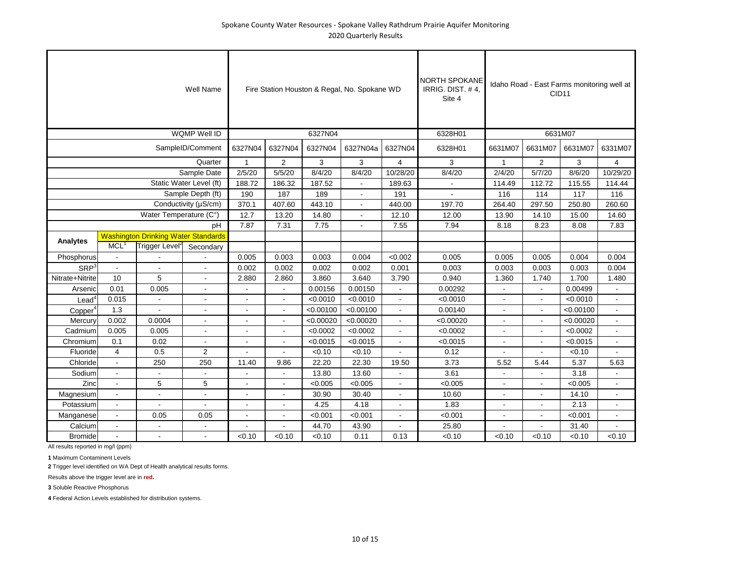|                     |                  |                                            | Well Name               |                          |         |           | Fire Station Houston & Regal, No. Spokane WD |                          | <b>NORTH SPOKANE</b><br>IRRIG. DIST. #4.<br>Site 4 |              |                          | Idaho Road - East Farms monitoring well at<br>CID <sub>11</sub> |                          |
|---------------------|------------------|--------------------------------------------|-------------------------|--------------------------|---------|-----------|----------------------------------------------|--------------------------|----------------------------------------------------|--------------|--------------------------|-----------------------------------------------------------------|--------------------------|
|                     |                  |                                            | WQMP Well ID            |                          |         | 6327N04   |                                              |                          | 6328H01                                            |              |                          | 6631M07                                                         |                          |
|                     |                  |                                            | SampleID/Comment        | 6327N04                  | 6327N04 | 6327N04   | 6327N04a                                     | 6327N04                  | 6328H01                                            | 6631M07      | 6631M07                  | 6631M07                                                         | 6331M07                  |
|                     |                  |                                            | Quarter                 | $\mathbf{1}$             | 2       | 3         | 3                                            | $\overline{4}$           | 3                                                  | $\mathbf{1}$ | $\overline{2}$           | 3                                                               | 4                        |
|                     |                  |                                            | Sample Date             | 2/5/20                   | 5/5/20  | 8/4/20    | 8/4/20                                       | 10/28/20                 | 8/4/20                                             | 2/4/20       | 5/7/20                   | 8/6/20                                                          | 10/29/20                 |
|                     |                  |                                            | Static Water Level (ft) | 188.72                   | 186.32  | 187.52    | $\overline{a}$                               | 189.63                   | $\mathbf{r}$                                       | 114.49       | 112.72                   | 115.55                                                          | 114.44                   |
|                     |                  |                                            | Sample Depth (ft)       | 190                      | 187     | 189       |                                              | 191                      |                                                    | 116          | 114                      | 117                                                             | 116                      |
|                     |                  |                                            | Conductivity (µS/cm)    | 370.1                    | 407.60  | 443.10    | $\Delta$                                     | 440.00                   | 197.70                                             | 264.40       | 297.50                   | 250.80                                                          | 260.60                   |
|                     |                  | Water Temperature (C°)                     |                         | 12.7                     | 13.20   | 14.80     | $\Delta$                                     | 12.10                    | 12.00                                              | 13.90        | 14.10                    | 15.00                                                           | 14.60                    |
|                     |                  |                                            | pH                      | 7.87                     | 7.31    | 7.75      |                                              | 7.55                     | 7.94                                               | 8.18         | 8.23                     | 8.08                                                            | 7.83                     |
|                     |                  | <b>Washington Drinking Water Standards</b> |                         |                          |         |           |                                              |                          |                                                    |              |                          |                                                                 |                          |
| <b>Analytes</b>     | MCL <sup>1</sup> | Trigger Level <sup>2</sup>                 | Secondary               |                          |         |           |                                              |                          |                                                    |              |                          |                                                                 |                          |
| Phosphorus          |                  |                                            |                         | 0.005                    | 0.003   | 0.003     | 0.004                                        | < 0.002                  | 0.005                                              | 0.005        | 0.005                    | 0.004                                                           | 0.004                    |
| SRP <sup>3</sup>    |                  |                                            |                         | 0.002                    | 0.002   | 0.002     | 0.002                                        | 0.001                    | 0.003                                              | 0.003        | 0.003                    | 0.003                                                           | 0.004                    |
| Nitrate+Nitrite     | 10               | 5                                          |                         | 2.880                    | 2.860   | 3.860     | 3.640                                        | 3.790                    | 0.940                                              | 1.360        | 1.740                    | 1.700                                                           | 1.480                    |
| Arsenic             | 0.01             | 0.005                                      |                         |                          |         | 0.00156   | 0.00150                                      |                          | 0.00292                                            |              |                          | 0.00499                                                         |                          |
| $\textsf{lead}^4$   | 0.015            |                                            |                         |                          |         | < 0.0010  | < 0.0010                                     |                          | < 0.0010                                           |              |                          | < 0.0010                                                        | $\overline{\phantom{a}}$ |
| Copper <sup>4</sup> | 1.3              |                                            |                         |                          |         | < 0.00100 | < 0.00100                                    |                          | 0.00140                                            |              |                          | < 0.00100                                                       | $\blacksquare$           |
| Mercury             | 0.002            | 0.0004                                     |                         |                          |         | < 0.00020 | < 0.00020                                    |                          | < 0.00020                                          |              |                          | < 0.00020                                                       | $\blacksquare$           |
| Cadmium             | 0.005            | 0.005                                      |                         | $\overline{\phantom{a}}$ |         | < 0.0002  | < 0.0002                                     | $\overline{\phantom{a}}$ | < 0.0002                                           |              | $\blacksquare$           | < 0.0002                                                        | $\blacksquare$           |
| Chromium            | 0.1              | 0.02                                       |                         | $\overline{\phantom{a}}$ |         | < 0.0015  | < 0.0015                                     | $\overline{\phantom{a}}$ | < 0.0015                                           |              | $\overline{\phantom{a}}$ | < 0.0015                                                        | $\blacksquare$           |
| Fluoride            | $\overline{4}$   | 0.5                                        | $\overline{2}$          |                          |         | < 0.10    | < 0.10                                       |                          | 0.12                                               |              |                          | < 0.10                                                          | $\overline{a}$           |
| Chloride            | $\blacksquare$   | 250                                        | 250                     | 11.40                    | 9.86    | 22.20     | 22.30                                        | 19.50                    | 3.73                                               | 5.52         | 5.44                     | 5.37                                                            | 5.63                     |
| Sodium              | $\blacksquare$   |                                            |                         |                          |         | 13.80     | 13.60                                        |                          | 3.61                                               |              |                          | 3.18                                                            |                          |
| Zinc                | $\blacksquare$   | 5                                          | 5                       |                          |         | < 0.005   | < 0.005                                      |                          | < 0.005                                            |              |                          | < 0.005                                                         | $\overline{a}$           |
| Magnesium           |                  | $\blacksquare$                             |                         | $\sim$                   | ÷       | 30.90     | 30.40                                        |                          | 10.60                                              |              |                          | 14.10                                                           | ÷                        |
| Potassium           | $\overline{a}$   |                                            |                         |                          |         | 4.25      | 4.18                                         |                          | 1.83                                               |              |                          | 2.13                                                            | ÷                        |
| Manganese           | $\overline{a}$   | 0.05                                       | 0.05                    | $\sim$                   |         | < 0.001   | < 0.001                                      |                          | < 0.001                                            |              |                          | < 0.001                                                         | $\overline{a}$           |
| Calcium             | $\overline{a}$   | $\overline{a}$                             |                         |                          |         | 44.70     | 43.90                                        |                          | 25.80                                              |              |                          | 31.40                                                           |                          |
| <b>Bromide</b>      |                  | $\blacksquare$                             |                         | < 0.10                   | < 0.10  | < 0.10    | 0.11                                         | 0.13                     | < 0.10                                             | < 0.10       | < 0.10                   | < 0.10                                                          | < 0.10                   |

**1** Maximum Contaminent Levels

**2** Trigger level identified on WA Dept of Health analytical results forms.

Results above the trigger level are in **red.**

**3** Soluble Reactive Phosphorus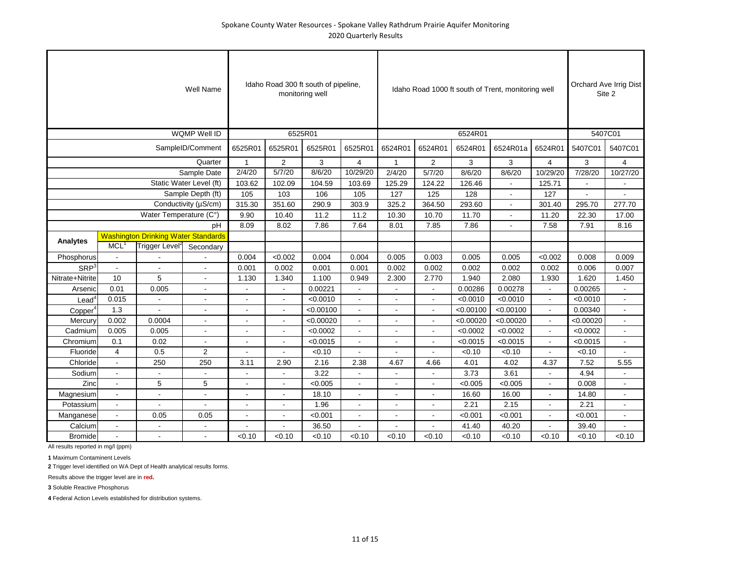|                     |                          |                                            | Well Name               |                |                | Idaho Road 300 ft south of pipeline,<br>monitoring well |                |                |                |           | Idaho Road 1000 ft south of Trent, monitoring well |                |           | Orchard Ave Irrig Dist<br>Site 2 |
|---------------------|--------------------------|--------------------------------------------|-------------------------|----------------|----------------|---------------------------------------------------------|----------------|----------------|----------------|-----------|----------------------------------------------------|----------------|-----------|----------------------------------|
|                     |                          |                                            | WQMP Well ID            |                |                | 6525R01                                                 |                |                |                | 6524R01   |                                                    |                | 5407C01   |                                  |
|                     |                          |                                            | SampleID/Comment        | 6525R01        | 6525R01        | 6525R01                                                 | 6525R01        | 6524R01        | 6524R01        | 6524R01   | 6524R01a                                           | 6524R01        | 5407C01   | 5407C01                          |
|                     |                          |                                            | Quarter                 | $\mathbf{1}$   | $\overline{2}$ | 3                                                       | 4              | $\mathbf{1}$   | $\overline{2}$ | 3         | 3                                                  | $\overline{4}$ | 3         | $\overline{4}$                   |
|                     |                          |                                            | Sample Date             | 2/4/20         | 5/7/20         | 8/6/20                                                  | 10/29/20       | 2/4/20         | 5/7/20         | 8/6/20    | 8/6/20                                             | 10/29/20       | 7/28/20   | 10/27/20                         |
|                     |                          |                                            | Static Water Level (ft) | 103.62         | 102.09         | 104.59                                                  | 103.69         | 125.29         | 124.22         | 126.46    | $\blacksquare$                                     | 125.71         |           | $\blacksquare$                   |
|                     |                          |                                            | Sample Depth (ft)       | 105            | 103            | 106                                                     | 105            | 127            | 125            | 128       |                                                    | 127            |           |                                  |
|                     |                          |                                            | Conductivity (µS/cm)    | 315.30         | 351.60         | 290.9                                                   | 303.9          | 325.2          | 364.50         | 293.60    | $\sim$                                             | 301.40         | 295.70    | 277.70                           |
|                     |                          | Water Temperature (C°)                     |                         | 9.90           | 10.40          | 11.2                                                    | 11.2           | 10.30          | 10.70          | 11.70     |                                                    | 11.20          | 22.30     | 17.00                            |
|                     |                          |                                            | pH                      | 8.09           | 8.02           | 7.86                                                    | 7.64           | 8.01           | 7.85           | 7.86      |                                                    | 7.58           | 7.91      | 8.16                             |
|                     |                          | <b>Washington Drinking Water Standards</b> |                         |                |                |                                                         |                |                |                |           |                                                    |                |           |                                  |
| Analytes            | MCL <sup>1</sup>         | Trigger Level <sup>2</sup>                 | Secondary               |                |                |                                                         |                |                |                |           |                                                    |                |           |                                  |
| Phosphorus          | $\overline{\phantom{a}}$ |                                            |                         | 0.004          | < 0.002        | 0.004                                                   | 0.004          | 0.005          | 0.003          | 0.005     | 0.005                                              | < 0.002        | 0.008     | 0.009                            |
| $SRP^3$             | $\overline{\phantom{a}}$ |                                            |                         | 0.001          | 0.002          | 0.001                                                   | 0.001          | 0.002          | 0.002          | 0.002     | 0.002                                              | 0.002          | 0.006     | 0.007                            |
| Nitrate+Nitrite     | 10                       | 5                                          | ÷.                      | 1.130          | 1.340          | 1.100                                                   | 0.949          | 2.300          | 2.770          | 1.940     | 2.080                                              | 1.930          | 1.620     | 1.450                            |
| Arsenic             | 0.01                     | 0.005                                      | ÷                       |                |                | 0.00221                                                 |                |                |                | 0.00286   | 0.00278                                            |                | 0.00265   | $\sim$                           |
| $\text{Lead}^4$     | 0.015                    |                                            |                         |                |                | < 0.0010                                                |                |                |                | < 0.0010  | < 0.0010                                           |                | < 0.0010  | $\blacksquare$                   |
| Copper <sup>4</sup> | 1.3                      |                                            | ÷.                      | $\overline{a}$ |                | < 0.00100                                               |                | ä,             | ÷.             | < 0.00100 | < 0.00100                                          | $\overline{a}$ | 0.00340   | $\sim$                           |
| Mercury             | 0.002                    | 0.0004                                     |                         |                |                | < 0.00020                                               |                |                | $\sim$         | < 0.00020 | < 0.00020                                          |                | < 0.00020 | $\sim$                           |
| Cadmium             | 0.005                    | 0.005                                      |                         |                |                | < 0.0002                                                |                |                |                | < 0.0002  | < 0.0002                                           |                | < 0.0002  | $\blacksquare$                   |
| Chromium            | 0.1                      | 0.02                                       |                         |                |                | < 0.0015                                                |                |                | ÷.             | < 0.0015  | < 0.0015                                           |                | < 0.0015  | $\blacksquare$                   |
| Fluoride            | $\overline{4}$           | 0.5                                        | 2                       |                |                | < 0.10                                                  |                |                |                | < 0.10    | < 0.10                                             |                | < 0.10    |                                  |
| Chloride            | $\sim$                   | 250                                        | 250                     | 3.11           | 2.90           | 2.16                                                    | 2.38           | 4.67           | 4.66           | 4.01      | 4.02                                               | 4.37           | 7.52      | 5.55                             |
| Sodium              | $\overline{\phantom{a}}$ |                                            |                         |                |                | 3.22                                                    |                |                |                | 3.73      | 3.61                                               |                | 4.94      | $\blacksquare$                   |
| Zinc                | ÷                        | 5                                          | 5                       | $\overline{a}$ |                | < 0.005                                                 |                |                |                | < 0.005   | < 0.005                                            |                | 0.008     | $\sim$                           |
| Magnesium           | $\overline{a}$           | $\overline{a}$                             | L.                      | ÷.             |                | 18.10                                                   |                | $\overline{a}$ |                | 16.60     | 16.00                                              |                | 14.80     | $\blacksquare$                   |
| Potassium           | $\overline{a}$           |                                            |                         | ÷.             |                | 1.96                                                    |                |                |                | 2.21      | 2.15                                               |                | 2.21      | $\sim$                           |
| Manganese           | $\overline{a}$           | 0.05                                       | 0.05                    | $\overline{a}$ | $\sim$         | < 0.001                                                 | $\overline{a}$ | $\overline{a}$ |                | < 0.001   | < 0.001                                            | ÷.             | < 0.001   | $\overline{a}$                   |
| Calcium             | ÷,                       |                                            |                         |                |                | 36.50                                                   |                |                |                | 41.40     | 40.20                                              |                | 39.40     |                                  |
| <b>Bromide</b>      |                          |                                            |                         | < 0.10         | < 0.10         | < 0.10                                                  | < 0.10         | < 0.10         | < 0.10         | < 0.10    | < 0.10                                             | < 0.10         | < 0.10    | < 0.10                           |

**1** Maximum Contaminent Levels

**2** Trigger level identified on WA Dept of Health analytical results forms.

Results above the trigger level are in **red.**

**3** Soluble Reactive Phosphorus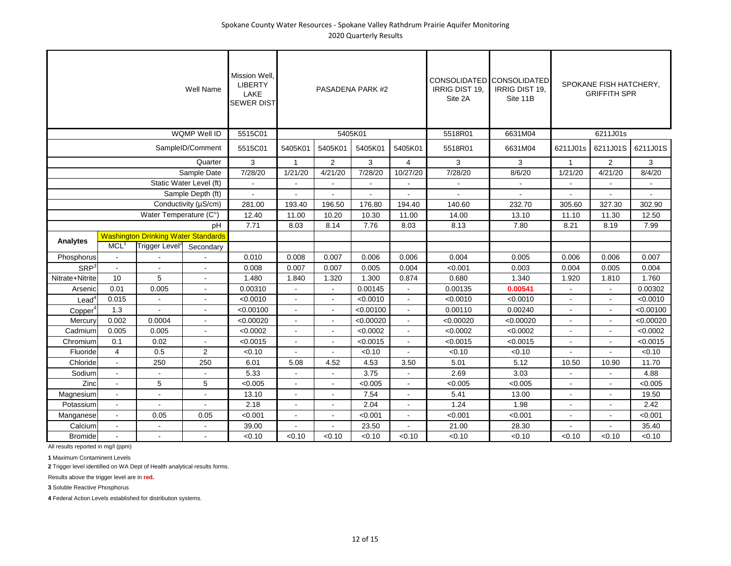|                          |                          |                                            | Well Name               | Mission Well.<br><b>LIBERTY</b><br>LAKE<br><b>SEWER DIST</b> |              |                | PASADENA PARK #2 |                | <b>IRRIG DIST 19.</b><br>Site 2A | CONSOLIDATED CONSOLIDATED<br><b>IRRIG DIST 19.</b><br>Site 11B |              | SPOKANE FISH HATCHERY,<br><b>GRIFFITH SPR</b> |           |
|--------------------------|--------------------------|--------------------------------------------|-------------------------|--------------------------------------------------------------|--------------|----------------|------------------|----------------|----------------------------------|----------------------------------------------------------------|--------------|-----------------------------------------------|-----------|
|                          |                          |                                            | WQMP Well ID            | 5515C01                                                      |              |                | 5405K01          |                | 5518R01                          | 6631M04                                                        |              | 6211J01s                                      |           |
|                          |                          |                                            | SampleID/Comment        | 5515C01                                                      | 5405K01      | 5405K01        | 5405K01          | 5405K01        | 5518R01                          | 6631M04                                                        | 6211J01s     | 6211J01S                                      | 6211J01S  |
|                          |                          |                                            | Quarter                 | 3                                                            | $\mathbf{1}$ | $\overline{2}$ | 3                | $\overline{4}$ | 3                                | 3                                                              | $\mathbf{1}$ | 2                                             | 3         |
|                          |                          |                                            | Sample Date             | 7/28/20                                                      | 1/21/20      | 4/21/20        | 7/28/20          | 10/27/20       | 7/28/20                          | 8/6/20                                                         | 1/21/20      | 4/21/20                                       | 8/4/20    |
|                          |                          |                                            | Static Water Level (ft) |                                                              |              |                |                  |                |                                  |                                                                |              |                                               |           |
|                          |                          | Sample Depth (ft)                          |                         |                                                              |              |                |                  |                |                                  |                                                                |              |                                               |           |
|                          |                          | Water Temperature (C°)                     |                         | 281.00                                                       | 193.40       | 196.50         | 176.80           | 194.40         | 140.60                           | 232.70                                                         | 305.60       | 327.30                                        | 302.90    |
|                          |                          | Conductivity (µS/cm)                       |                         | 12.40                                                        | 11.00        | 10.20          | 10.30            | 11.00          | 14.00                            | 13.10                                                          | 11.10        | 11.30                                         | 12.50     |
|                          |                          | pH                                         |                         | 7.71                                                         | 8.03         | 8.14           | 7.76             | 8.03           | 8.13                             | 7.80                                                           | 8.21         | 8.19                                          | 7.99      |
|                          |                          | <b>Washington Drinking Water Standards</b> |                         |                                                              |              |                |                  |                |                                  |                                                                |              |                                               |           |
| <b>Analytes</b>          | MCL <sup>1</sup>         | Trigger Level <sup>2</sup>                 | Secondary               |                                                              |              |                |                  |                |                                  |                                                                |              |                                               |           |
| Phosphorus               | $\sim$                   |                                            |                         | 0.010                                                        | 0.008        | 0.007          | 0.006            | 0.006          | 0.004                            | 0.005                                                          | 0.006        | 0.006                                         | 0.007     |
| SRP <sup>3</sup>         | $\sim$                   |                                            |                         | 0.008                                                        | 0.007        | 0.007          | 0.005            | 0.004          | < 0.001                          | 0.003                                                          | 0.004        | 0.005                                         | 0.004     |
| Nitrate+Nitrite          | 10                       | 5                                          |                         | 1.480                                                        | 1.840        | 1.320          | 1.300            | 0.874          | 0.680                            | 1.340                                                          | 1.920        | 1.810                                         | 1.760     |
| Arsenic                  | 0.01                     | 0.005                                      | ٠                       | 0.00310                                                      |              |                | 0.00145          |                | 0.00135                          | 0.00541                                                        |              |                                               | 0.00302   |
| $\text{Lead}^{\text{c}}$ | 0.015                    |                                            |                         | < 0.0010                                                     |              |                | < 0.0010         |                | < 0.0010                         | < 0.0010                                                       |              |                                               | < 0.0010  |
| Copper <sup>4</sup>      | 1.3                      |                                            |                         | < 0.00100                                                    |              | $\overline{a}$ | < 0.00100        | $\overline{a}$ | 0.00110                          | 0.00240                                                        |              |                                               | < 0.00100 |
| Mercury                  | 0.002                    | 0.0004                                     |                         | < 0.00020                                                    |              | ÷              | < 0.00020        | $\overline{a}$ | < 0.00020                        | < 0.00020                                                      |              |                                               | < 0.00020 |
| Cadmium                  | 0.005                    | 0.005                                      |                         | < 0.0002                                                     |              | $\blacksquare$ | < 0.0002         |                | < 0.0002                         | < 0.0002                                                       |              |                                               | < 0.0002  |
| Chromium                 | 0.1                      | 0.02                                       |                         | < 0.0015                                                     |              | $\overline{a}$ | < 0.0015         |                | < 0.0015                         | < 0.0015                                                       |              |                                               | < 0.0015  |
| Fluoride                 | $\overline{4}$           | 0.5                                        | $\overline{2}$          | < 0.10                                                       |              |                | < 0.10           |                | < 0.10                           | < 0.10                                                         |              |                                               | < 0.10    |
| Chloride                 | $\sim$                   | 250                                        | 250                     | 6.01                                                         | 5.08         | 4.52           | 4.53             | 3.50           | 5.01                             | 5.12                                                           | 10.50        | 10.90                                         | 11.70     |
| Sodium                   | $\sim$                   |                                            |                         | 5.33                                                         |              |                | 3.75             |                | 2.69                             | 3.03                                                           |              |                                               | 4.88      |
| Zinc                     | ÷.                       | 5                                          | 5                       | < 0.005                                                      |              | ÷              | < 0.005          |                | < 0.005                          | < 0.005                                                        |              |                                               | < 0.005   |
| Magnesium                | $\tilde{\phantom{a}}$    |                                            |                         | 13.10                                                        |              | $\overline{a}$ | 7.54             |                | 5.41                             | 13.00                                                          |              |                                               | 19.50     |
| Potassium                | $\sim$                   |                                            |                         | 2.18                                                         |              |                | 2.04             |                | 1.24                             | 1.98                                                           |              |                                               | 2.42      |
| Manganese                | $\sim$                   | 0.05                                       | 0.05                    | < 0.001                                                      |              | $\overline{a}$ | < 0.001          |                | < 0.001                          | < 0.001                                                        |              |                                               | < 0.001   |
| Calcium                  | $\tilde{\phantom{a}}$    |                                            |                         | 39.00                                                        |              |                | 23.50            |                | 21.00                            | 28.30                                                          |              |                                               | 35.40     |
| <b>Bromide</b>           | $\overline{\phantom{a}}$ |                                            |                         | < 0.10                                                       | < 0.10       | < 0.10         | < 0.10           | < 0.10         | < 0.10                           | < 0.10                                                         | < 0.10       | < 0.10                                        | < 0.10    |

**1** Maximum Contaminent Levels

**2** Trigger level identified on WA Dept of Health analytical results forms.

Results above the trigger level are in **red.**

**3** Soluble Reactive Phosphorus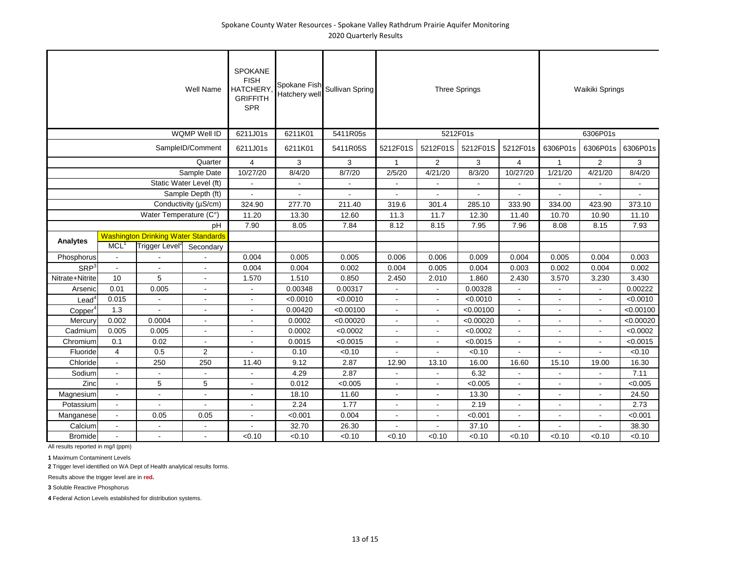| Well Name           |                                            |                            |                         | <b>SPOKANE</b><br><b>FISH</b><br><b>HATCHERY</b><br><b>GRIFFITH</b><br><b>SPR</b> | Spokane Fish<br>Hatchery wel | Sullivan Spring | <b>Three Springs</b> |          |           |                          | Waikiki Springs |                          |           |
|---------------------|--------------------------------------------|----------------------------|-------------------------|-----------------------------------------------------------------------------------|------------------------------|-----------------|----------------------|----------|-----------|--------------------------|-----------------|--------------------------|-----------|
|                     |                                            |                            | WQMP Well ID            | 6211J01s                                                                          | 6211K01                      | 5411R05s        |                      | 5212F01s |           |                          |                 | 6306P01s                 |           |
|                     |                                            |                            | SampleID/Comment        | 6211J01s                                                                          | 6211K01                      | 5411R05S        | 5212F01S             | 5212F01S | 5212F01S  | 5212F01s                 | 6306P01s        | 6306P01s                 | 6306P01s  |
| Quarter             |                                            |                            |                         | $\overline{4}$                                                                    | 3                            | 3               | $\mathbf{1}$         | 2        | 3         | $\overline{4}$           | $\mathbf{1}$    | 2                        | 3         |
|                     |                                            |                            | Sample Date             | 10/27/20                                                                          | 8/4/20                       | 8/7/20          | 2/5/20               | 4/21/20  | 8/3/20    | 10/27/20                 | 1/21/20         | 4/21/20                  | 8/4/20    |
|                     |                                            |                            | Static Water Level (ft) |                                                                                   |                              |                 |                      |          |           |                          |                 |                          |           |
| Sample Depth (ft)   |                                            |                            |                         |                                                                                   |                              |                 |                      |          |           |                          |                 |                          |           |
|                     |                                            |                            | Conductivity (µS/cm)    | 324.90                                                                            | 277.70                       | 211.40          | 319.6                | 301.4    | 285.10    | 333.90                   | 334.00          | 423.90                   | 373.10    |
|                     |                                            | Water Temperature (C°)     |                         | 11.20                                                                             | 13.30                        | 12.60           | 11.3                 | 11.7     | 12.30     | 11.40                    | 10.70           | 10.90                    | 11.10     |
| pH                  |                                            |                            | 7.90                    | 8.05                                                                              | 7.84                         | 8.12            | 8.15                 | 7.95     | 7.96      | 8.08                     | 8.15            | 7.93                     |           |
| Analytes            | <b>Washington Drinking Water Standards</b> |                            |                         |                                                                                   |                              |                 |                      |          |           |                          |                 |                          |           |
|                     | MCL <sup>1</sup>                           | Trigger Level <sup>2</sup> | Secondary               |                                                                                   |                              |                 |                      |          |           |                          |                 |                          |           |
| Phosphorus          | $\sim$                                     |                            |                         | 0.004                                                                             | 0.005                        | 0.005           | 0.006                | 0.006    | 0.009     | 0.004                    | 0.005           | 0.004                    | 0.003     |
| SRP <sup>3</sup>    | $\overline{a}$                             |                            |                         | 0.004                                                                             | 0.004                        | 0.002           | 0.004                | 0.005    | 0.004     | 0.003                    | 0.002           | 0.004                    | 0.002     |
| Nitrate+Nitrite     | 10                                         | 5                          | $\sim$                  | 1.570                                                                             | 1.510                        | 0.850           | 2.450                | 2.010    | 1.860     | 2.430                    | 3.570           | 3.230                    | 3.430     |
| Arsenic             | 0.01                                       | 0.005                      | $\blacksquare$          |                                                                                   | 0.00348                      | 0.00317         |                      |          | 0.00328   |                          |                 |                          | 0.00222   |
| Lead                | 0.015                                      |                            |                         |                                                                                   | < 0.0010                     | < 0.0010        |                      |          | < 0.0010  |                          |                 |                          | < 0.0010  |
| Copper <sup>4</sup> | 1.3                                        |                            | $\sim$                  |                                                                                   | 0.00420                      | < 0.00100       | $\sim$               | ä,       | < 0.00100 | $\overline{\phantom{a}}$ |                 | $\overline{\phantom{a}}$ | < 0.00100 |
| Mercury             | 0.002                                      | 0.0004                     | $\overline{a}$          |                                                                                   | 0.0002                       | < 0.00020       | $\mathbf{r}$         | ÷.       | < 0.00020 | $\overline{a}$           |                 | ÷.                       | < 0.00020 |
| Cadmium             | 0.005                                      | 0.005                      | $\overline{a}$          |                                                                                   | 0.0002                       | < 0.0002        | ÷                    | ÷        | < 0.0002  |                          |                 |                          | < 0.0002  |
| Chromium            | 0.1                                        | 0.02                       |                         |                                                                                   | 0.0015                       | < 0.0015        | ÷                    |          | < 0.0015  |                          |                 |                          | < 0.0015  |
| Fluoride            | $\overline{4}$                             | 0.5                        | $\overline{2}$          |                                                                                   | 0.10                         | < 0.10          |                      |          | < 0.10    |                          |                 |                          | < 0.10    |
| Chloride            | $\overline{a}$                             | 250                        | 250                     | 11.40                                                                             | 9.12                         | 2.87            | 12.90                | 13.10    | 16.00     | 16.60                    | 15.10           | 19.00                    | 16.30     |
| Sodium              | $\overline{a}$                             |                            |                         |                                                                                   | 4.29                         | 2.87            |                      |          | 6.32      |                          |                 |                          | 7.11      |
| Zinc                | ÷,                                         | 5                          | 5                       |                                                                                   | 0.012                        | < 0.005         |                      |          | < 0.005   |                          |                 |                          | < 0.005   |
| Magnesium           | $\overline{a}$                             | ÷.                         | $\overline{a}$          |                                                                                   | 18.10                        | 11.60           | ÷                    |          | 13.30     |                          |                 | ÷.                       | 24.50     |
| Potassium           | $\sim$                                     |                            |                         | $\overline{a}$                                                                    | 2.24                         | 1.77            | ٠                    |          | 2.19      |                          |                 |                          | 2.73      |
| Manganese           | $\overline{a}$                             | 0.05                       | 0.05                    |                                                                                   | < 0.001                      | 0.004           |                      |          | < 0.001   |                          |                 |                          | < 0.001   |
| Calcium             |                                            |                            |                         |                                                                                   | 32.70                        | 26.30           |                      |          | 37.10     |                          |                 |                          | 38.30     |
| <b>Bromide</b>      | $\blacksquare$                             |                            |                         | < 0.10                                                                            | < 0.10                       | < 0.10          | < 0.10               | < 0.10   | < 0.10    | < 0.10                   | < 0.10          | < 0.10                   | < 0.10    |

**1** Maximum Contaminent Levels

**2** Trigger level identified on WA Dept of Health analytical results forms.

Results above the trigger level are in **red.**

**3** Soluble Reactive Phosphorus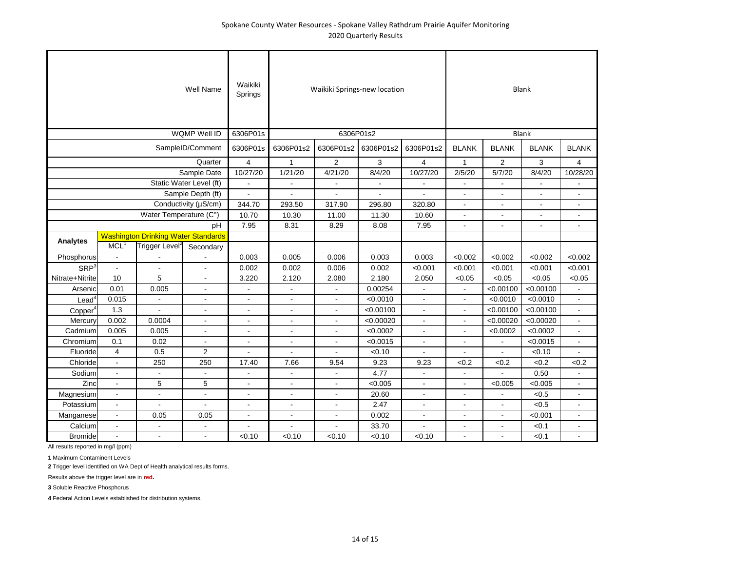|                      |                                            |                            | Well Name                | Waikiki<br>Springs |                | Waikiki Springs-new location | <b>Blank</b> |                          |                |                |                |                |
|----------------------|--------------------------------------------|----------------------------|--------------------------|--------------------|----------------|------------------------------|--------------|--------------------------|----------------|----------------|----------------|----------------|
|                      |                                            |                            | WQMP Well ID             | 6306P01s           |                |                              | <b>Blank</b> |                          |                |                |                |                |
|                      |                                            |                            | SampleID/Comment         | 6306P01s           | 6306P01s2      | 6306P01s2                    | 6306P01s2    | 6306P01s2                | <b>BLANK</b>   | <b>BLANK</b>   | <b>BLANK</b>   | <b>BLANK</b>   |
|                      |                                            |                            | Quarter                  | $\overline{4}$     | $\mathbf{1}$   | $\overline{2}$               | 3            | $\overline{4}$           | $\mathbf{1}$   | $\overline{2}$ | 3              | $\overline{4}$ |
|                      |                                            |                            | Sample Date              | 10/27/20           | 1/21/20        | 4/21/20                      | 8/4/20       | 10/27/20                 | 2/5/20         | 5/7/20         | 8/4/20         | 10/28/20       |
|                      |                                            |                            | Static Water Level (ft)  |                    |                |                              |              |                          |                |                |                |                |
|                      |                                            |                            | Sample Depth (ft)        | $\overline{a}$     |                |                              |              |                          | $\blacksquare$ |                | L.             | $\blacksquare$ |
|                      |                                            |                            | Conductivity (µS/cm)     | 344.70             | 293.50         | 317.90                       | 296.80       | 320.80                   | $\blacksquare$ |                |                |                |
|                      |                                            | Water Temperature (C°)     |                          | 10.70              | 10.30          | 11.00                        | 11.30        | 10.60                    | $\blacksquare$ | $\sim$         | $\blacksquare$ | $\sim$         |
|                      |                                            |                            | pH                       | 7.95               | 8.31           | 8.29                         | 8.08         | 7.95                     | $\blacksquare$ |                |                |                |
| Analytes             | <b>Washington Drinking Water Standards</b> |                            |                          |                    |                |                              |              |                          |                |                |                |                |
|                      | MCL <sup>1</sup>                           | Trigger Level <sup>2</sup> | Secondary                |                    |                |                              |              |                          |                |                |                |                |
| Phosphorus           | $\blacksquare$                             |                            |                          | 0.003              | 0.005          | 0.006                        | 0.003        | 0.003                    | < 0.002        | < 0.002        | < 0.002        | < 0.002        |
| SRP <sup>3</sup>     |                                            |                            | $\overline{a}$           | 0.002              | 0.002          | 0.006                        | 0.002        | < 0.001                  | < 0.001        | < 0.001        | < 0.001        | < 0.001        |
| Nitrate+Nitrite      | 10                                         | 5                          | $\overline{a}$           | 3.220              | 2.120          | 2.080                        | 2.180        | 2.050                    | < 0.05         | < 0.05         | < 0.05         | < 0.05         |
| Arsenic              | 0.01                                       | 0.005                      | $\overline{\phantom{a}}$ |                    |                |                              | 0.00254      |                          |                | < 0.00100      | < 0.00100      | $\blacksquare$ |
| $L$ ead <sup>4</sup> | 0.015                                      |                            | $\blacksquare$           |                    | $\blacksquare$ |                              | < 0.0010     | $\blacksquare$           |                | < 0.0010       | < 0.0010       | $\blacksquare$ |
| Copper <sup>4</sup>  | 1.3                                        |                            | $\blacksquare$           | $\blacksquare$     | $\blacksquare$ | $\blacksquare$               | < 0.00100    | $\overline{\phantom{a}}$ | $\blacksquare$ | < 0.00100      | < 0.00100      | $\blacksquare$ |
| Mercury              | 0.002                                      | 0.0004                     | $\blacksquare$           | $\blacksquare$     | $\frac{1}{2}$  | $\blacksquare$               | < 0.00020    | $\blacksquare$           | $\blacksquare$ | < 0.00020      | < 0.00020      | $\blacksquare$ |
| Cadmium              | 0.005                                      | 0.005                      | $\blacksquare$           | $\blacksquare$     | $\blacksquare$ | $\blacksquare$               | < 0.0002     | $\blacksquare$           | $\blacksquare$ | < 0.0002       | < 0.0002       | $\blacksquare$ |
| Chromium             | 0.1                                        | 0.02                       |                          | $\blacksquare$     | $\blacksquare$ | $\blacksquare$               | < 0.0015     | $\blacksquare$           | $\blacksquare$ |                | < 0.0015       | $\blacksquare$ |
| Fluoride             | $\overline{4}$                             | 0.5                        | 2                        | $\overline{a}$     |                |                              | < 0.10       |                          |                |                | < 0.10         |                |
| Chloride             | $\overline{\phantom{a}}$                   | 250                        | 250                      | 17.40              | 7.66           | 9.54                         | 9.23         | 9.23                     | <0.2           | < 0.2          | <0.2           | < 0.2          |
| Sodium               | $\sim$                                     |                            |                          |                    | $\blacksquare$ | $\blacksquare$               | 4.77         | $\overline{a}$           | $\blacksquare$ |                | 0.50           | $\blacksquare$ |
| Zinc                 | $\sim$                                     | 5                          | 5                        | $\overline{a}$     | $\overline{a}$ | $\overline{a}$               | < 0.005      | $\overline{a}$           | ä,             | < 0.005        | < 0.005        | $\blacksquare$ |
| Magnesium            | $\sim$                                     | $\overline{a}$             | $\overline{a}$           | $\overline{a}$     | $\blacksquare$ | ÷                            | 20.60        | $\overline{a}$           | $\overline{a}$ |                | < 0.5          | $\blacksquare$ |
| Potassium            | $\overline{a}$                             |                            |                          | $\overline{a}$     | ٠              |                              | 2.47         | ٠                        | $\overline{a}$ |                | < 0.5          | ÷              |
| Manganese            | $\overline{\phantom{a}}$                   | 0.05                       | 0.05                     | $\sim$             | $\overline{a}$ | $\blacksquare$               | 0.002        | $\overline{a}$           | L,             |                | < 0.001        | $\blacksquare$ |
| Calcium              | $\overline{a}$                             | $\overline{a}$             |                          |                    |                |                              | 33.70        |                          | L,             |                | < 0.1          | $\blacksquare$ |
| <b>Bromide</b>       |                                            | ä,                         | $\overline{a}$           | < 0.10             | < 0.10         | < 0.10                       | < 0.10       | < 0.10                   |                |                | < 0.1          |                |

**1** Maximum Contaminent Levels

**2** Trigger level identified on WA Dept of Health analytical results forms.

Results above the trigger level are in **red.**

**3** Soluble Reactive Phosphorus